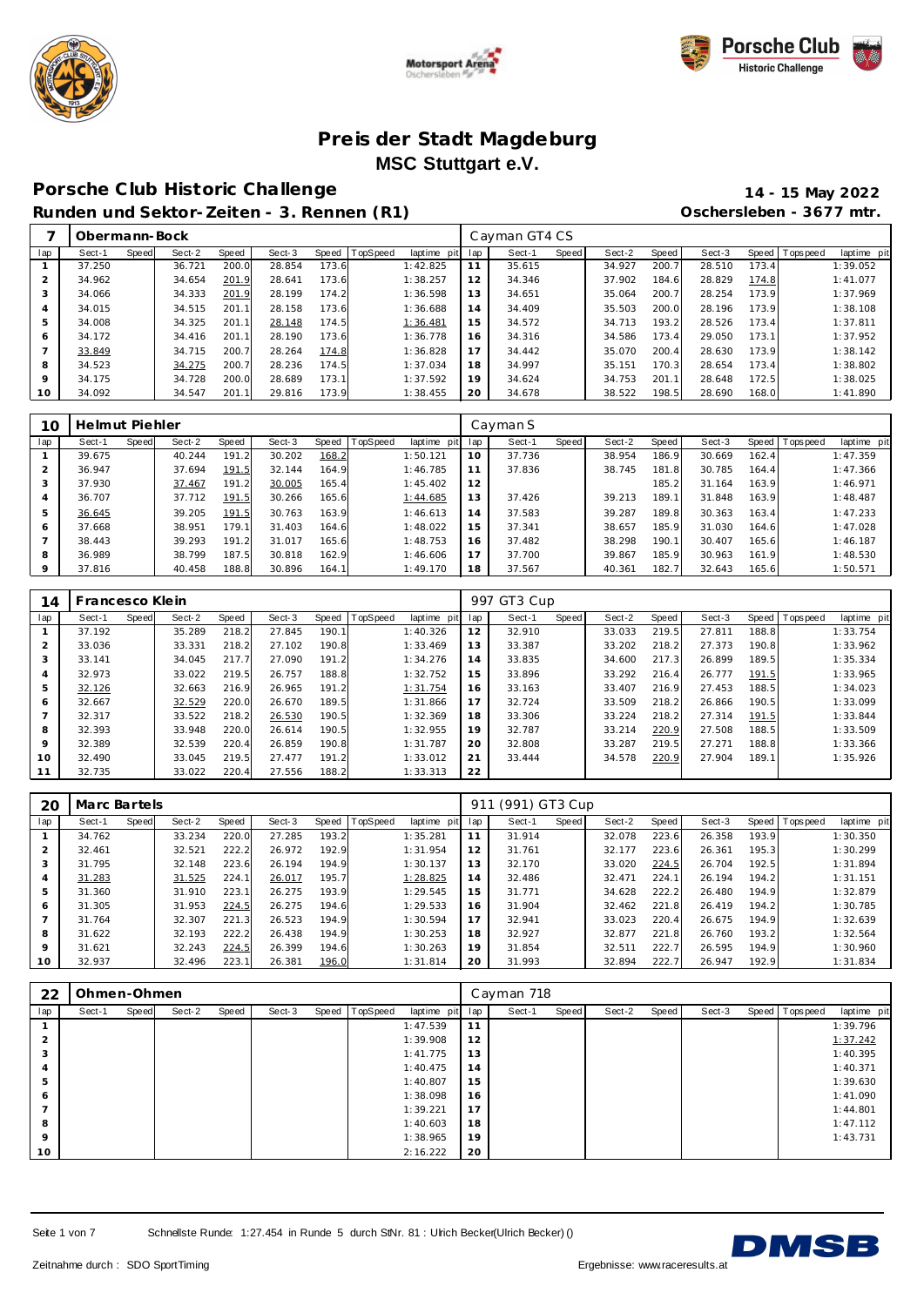





## **Porsche C lub Historic Challenge 14 - 15 May 2022**

**Runden und Sektor-Zeiten - 3. Rennen (R1) Oschersleben - 3677 mtr.**

|     | Obermann-Bock |       |        |       |        |       |          |                |     | Cayman GT4 CS |       |        |       |        |       |                |             |
|-----|---------------|-------|--------|-------|--------|-------|----------|----------------|-----|---------------|-------|--------|-------|--------|-------|----------------|-------------|
| lap | Sect-1        | Speed | Sect-2 | Speed | Sect-3 | Speed | TopSpeed | laptime<br>pit | lap | Sect-1        | Speed | Sect-2 | Speed | Sect-3 |       | Speed Topspeed | laptime pit |
|     | 37.250        |       | 36.721 | 200.0 | 28.854 | 173.6 |          | 1:42.825       | 11  | 35.615        |       | 34.927 | 200.7 | 28.510 | 173.4 |                | 1:39.052    |
| 2   | 34.962        |       | 34.654 | 201.9 | 28.641 | 173.6 |          | 1:38.257       | 12  | 34.346        |       | 37.902 | 184.6 | 28.829 | 174.8 |                | 1:41.077    |
| 3   | 34.066        |       | 34.333 | 201.9 | 28.199 | 174.2 |          | 1:36.598       | 13  | 34.651        |       | 35.064 | 200.7 | 28.254 | 173.9 |                | 1:37.969    |
| 4   | 34.015        |       | 34.515 | 201.1 | 28.158 | 173.6 |          | 1:36.688       | 14  | 34.409        |       | 35.503 | 200.0 | 28.196 | 173.9 |                | 1:38.108    |
| 5   | 34.008        |       | 34.325 | 201.1 | 28.148 | 174.5 |          | 1:36.481       | 15  | 34.572        |       | 34.713 | 193.2 | 28.526 | 173.4 |                | 1:37.811    |
| 6   | 34.172        |       | 34.416 | 201.1 | 28.190 | 173.6 |          | 1:36.778       | 16  | 34.316        |       | 34.586 | 173.4 | 29.050 | 173.1 |                | 1:37.952    |
|     | 33.849        |       | 34.715 | 200.7 | 28.264 | 174.8 |          | 1:36.828       | 17  | 34.442        |       | 35.070 | 200.4 | 28.630 | 173.9 |                | 1:38.142    |
| 8   | 34.523        |       | 34.275 | 200.7 | 28.236 | 174.5 |          | 1:37.034       | 18  | 34.997        |       | 35.151 | 170.3 | 28.654 | 173.4 |                | 1:38.802    |
| 9   | 34.175        |       | 34.728 | 200.0 | 28.689 | 173.1 |          | 1:37.592       | 19  | 34.624        |       | 34.753 | 201.1 | 28.648 | 172.5 |                | 1:38.025    |
| 10  | 34.092        |       | 34.547 | 201.1 | 29.816 | 173.9 |          | 1:38.455       | 20  | 34.678        |       | 38.522 | 198.5 | 28.690 | 168.0 |                | 1:41.890    |

| 10             | Helmut Piehler |       |        |       |        |       |                  |             |     | Cayman S |       |        |       |        |       |          |             |
|----------------|----------------|-------|--------|-------|--------|-------|------------------|-------------|-----|----------|-------|--------|-------|--------|-------|----------|-------------|
| lap            | Sect-1         | Speed | Sect-2 | Speed | Sect-3 |       | Speed   TopSpeed | laptime pit | lap | Sect-1   | Speed | Sect-2 | Speed | Sect-3 | Speed | Topspeed | laptime pit |
|                | 39.675         |       | 40.244 | 191.2 | 30.202 | 168.2 |                  | 1:50.121    | 10  | 37.736   |       | 38.954 | 186.9 | 30.669 | 162.4 |          | 1:47.359    |
| 2              | 36.947         |       | 37.694 | 191.5 | 32.144 | 164.9 |                  | 1:46.785    | 11  | 37.836   |       | 38.745 | 181.8 | 30.785 | 164.4 |          | 1:47.366    |
| 3              | 37.930         |       | 37.467 | 191.2 | 30.005 | 165.4 |                  | 1:45.402    | 12  |          |       |        | 185.2 | 31.164 | 163.9 |          | 1:46.971    |
| $\overline{4}$ | 36.707         |       | 37.712 | 191.5 | 30.266 | 165.6 |                  | 1:44.685    | 13  | 37.426   |       | 39.213 | 189.1 | 31.848 | 163.9 |          | 1:48.487    |
| 5              | 36.645         |       | 39.205 | 191.5 | 30.763 | 163.9 |                  | 1:46.613    | 14  | 37.583   |       | 39.287 | 189.8 | 30.363 | 163.4 |          | 1:47.233    |
| 6              | 37.668         |       | 38.951 | 179.1 | 31.403 | 164.6 |                  | 1:48.022    | 15  | 37.341   |       | 38.657 | 185.9 | 31.030 | 164.6 |          | 1:47.028    |
| $\overline{ }$ | 38.443         |       | 39.293 | 191.2 | 31.017 | 165.6 |                  | 1:48.753    | 16  | 37.482   |       | 38.298 | 190.1 | 30.407 | 165.6 |          | 1:46.187    |
| 8              | 36.989         |       | 38.799 | 187.5 | 30.818 | 162.9 |                  | 1:46.606    | 17  | 37.700   |       | 39.867 | 185.9 | 30.963 | 161.9 |          | 1:48.530    |
| 9              | 37.816         |       | 40.458 | 188.8 | 30.896 | 164.1 |                  | 1:49.170    | 18  | 37.567   |       | 40.361 | 182.7 | 32.643 | 165.6 |          | 1:50.571    |

| 14             | Francesco Klein |       |        |       |        |       |                 |             |     | 997 GT3 Cup |       |        |       |        |       |                |             |
|----------------|-----------------|-------|--------|-------|--------|-------|-----------------|-------------|-----|-------------|-------|--------|-------|--------|-------|----------------|-------------|
| lap            | Sect-1          | Speed | Sect-2 | Speed | Sect-3 | Speed | <b>TopSpeed</b> | laptime pit | lap | Sect-1      | Speed | Sect-2 | Speed | Sect-3 |       | Speed Topspeed | laptime pit |
|                | 37.192          |       | 35.289 | 218.2 | 27.845 | 190.1 |                 | 1:40.326    | 12  | 32.910      |       | 33.033 | 219.5 | 27.811 | 188.8 |                | 1:33.754    |
| 2              | 33.036          |       | 33.331 | 218.2 | 27.102 | 190.8 |                 | 1:33.469    | 13  | 33.387      |       | 33.202 | 218.2 | 27.373 | 190.8 |                | 1:33.962    |
| 3              | 33.141          |       | 34.045 | 217.7 | 27.090 | 191.2 |                 | 1:34.276    | 14  | 33.835      |       | 34.600 | 217.3 | 26.899 | 189.5 |                | 1:35.334    |
| 4              | 32.973          |       | 33.022 | 219.5 | 26.757 | 188.8 |                 | 1:32.752    | 15  | 33.896      |       | 33.292 | 216.4 | 26.777 | 191.5 |                | 1:33.965    |
| 5              | 32.126          |       | 32.663 | 216.9 | 26.965 | 191.2 |                 | 1:31.754    | 16  | 33.163      |       | 33.407 | 216.9 | 27.453 | 188.5 |                | 1:34.023    |
| 6              | 32.667          |       | 32.529 | 220.0 | 26.670 | 189.5 |                 | 1:31.866    | 17  | 32.724      |       | 33.509 | 218.2 | 26.866 | 190.5 |                | 1:33.099    |
| $\overline{ }$ | 32.317          |       | 33.522 | 218.2 | 26.530 | 190.5 |                 | 1:32.369    | 18  | 33.306      |       | 33.224 | 218.2 | 27.314 | 191.5 |                | 1:33.844    |
| 8              | 32.393          |       | 33.948 | 220.0 | 26.614 | 190.5 |                 | 1:32.955    | 19  | 32.787      |       | 33.214 | 220.9 | 27.508 | 188.5 |                | 1:33.509    |
| 9              | 32.389          |       | 32.539 | 220.4 | 26.859 | 190.8 |                 | 1:31.787    | 20  | 32.808      |       | 33.287 | 219.5 | 27.271 | 188.8 |                | 1:33.366    |
| 10             | 32.490          |       | 33.045 | 219.5 | 27.477 | 191.2 |                 | 1:33.012    | 21  | 33.444      |       | 34.578 | 220.9 | 27.904 | 189.1 |                | 1:35.926    |
| 11             | 32.735          |       | 33.022 | 220.4 | 27.556 | 188.2 |                 | 1:33.313    | 22  |             |       |        |       |        |       |                |             |

| 20      | Marc Bartels |       |        |       |        |       |          |                | 911 | (991) GT3 Cup |       |        |       |        |       |            |             |
|---------|--------------|-------|--------|-------|--------|-------|----------|----------------|-----|---------------|-------|--------|-------|--------|-------|------------|-------------|
| lap     | Sect-1       | Speed | Sect-2 | Speed | Sect-3 | Speed | TopSpeed | laptime<br>pit | lap | Sect-1        | Speed | Sect-2 | Speed | Sect-3 | Speed | Tops pee d | laptime pit |
|         | 34.762       |       | 33.234 | 220.0 | 27.285 | 193.2 |          | 1:35.281       | 11  | 31.914        |       | 32.078 | 223.6 | 26.358 | 193.9 |            | 1:30.350    |
|         | 32.461       |       | 32.521 | 222.2 | 26.972 | 192.9 |          | 1:31.954       | 12  | 31.761        |       | 32.177 | 223.6 | 26.361 | 195.3 |            | 1:30.299    |
|         | 31.795       |       | 32.148 | 223.6 | 26.194 | 194.9 |          | 1:30.137       | 13  | 32.170        |       | 33.020 | 224.5 | 26.704 | 192.5 |            | 1:31.894    |
|         | 31.283       |       | 31.525 | 224.1 | 26.017 | 195.7 |          | 1:28.825       | 14  | 32.486        |       | 32.471 | 224.1 | 26.194 | 194.2 |            | 1:31.151    |
| 5       | 31.360       |       | 31.910 | 223.1 | 26.275 | 193.9 |          | 1:29.545       | 15  | 31.771        |       | 34.628 | 222.2 | 26.480 | 194.9 |            | 1:32.879    |
| 6       | 31.305       |       | 31.953 | 224.5 | 26.275 | 194.6 |          | 1:29.533       | 16  | 31.904        |       | 32.462 | 221.8 | 26.419 | 194.2 |            | 1:30.785    |
|         | 31.764       |       | 32.307 | 221.3 | 26.523 | 194.9 |          | 1:30.594       | 17  | 32.941        |       | 33.023 | 220.4 | 26.675 | 194.9 |            | 1:32.639    |
| 8       | 31.622       |       | 32.193 | 222.2 | 26.438 | 194.9 |          | 1:30.253       | 18  | 32.927        |       | 32.877 | 221.8 | 26.760 | 193.2 |            | 1:32.564    |
| $\circ$ | 31.621       |       | 32.243 | 224.5 | 26.399 | 194.6 |          | 1:30.263       | 19  | 31.854        |       | 32.511 | 222.7 | 26.595 | 194.9 |            | 1:30.960    |
| 10      | 32.937       |       | 32.496 | 223.1 | 26.381 | 196.0 |          | 1:31.814       | 20  | 31.993        |       | 32.894 | 222.7 | 26.947 | 192.9 |            | 1:31.834    |

| 22                   | Ohmen-Ohmen |       |        |       |        |                |             |     | Cayman 718 |       |        |       |        |                   |             |
|----------------------|-------------|-------|--------|-------|--------|----------------|-------------|-----|------------|-------|--------|-------|--------|-------------------|-------------|
| lap                  | Sect-1      | Speed | Sect-2 | Speed | Sect-3 | Speed TopSpeed | laptime pit | lap | Sect-1     | Speed | Sect-2 | Speed | Sect-3 | Speed   Tops peed | laptime pit |
|                      |             |       |        |       |        |                | 1:47.539    | 11  |            |       |        |       |        |                   | 1:39.796    |
| $\sim$<br>∠          |             |       |        |       |        |                | 1:39.908    | 12  |            |       |        |       |        |                   | 1:37.242    |
| $\overline{ }$<br>-3 |             |       |        |       |        |                | 1:41.775    | 13  |            |       |        |       |        |                   | 1:40.395    |
| 4                    |             |       |        |       |        |                | 1:40.475    | 14  |            |       |        |       |        |                   | 1:40.371    |
| 5                    |             |       |        |       |        |                | 1:40.807    | 15  |            |       |        |       |        |                   | 1:39.630    |
| 6                    |             |       |        |       |        |                | 1:38.098    | 16  |            |       |        |       |        |                   | 1:41.090    |
|                      |             |       |        |       |        |                | 1:39.221    | 17  |            |       |        |       |        |                   | 1:44.801    |
| 8                    |             |       |        |       |        |                | 1:40.603    | 18  |            |       |        |       |        |                   | 1:47.112    |
| $\circ$              |             |       |        |       |        |                | 1:38.965    | 19  |            |       |        |       |        |                   | 1:43.731    |
| 10                   |             |       |        |       |        |                | 2:16.222    | 20  |            |       |        |       |        |                   |             |

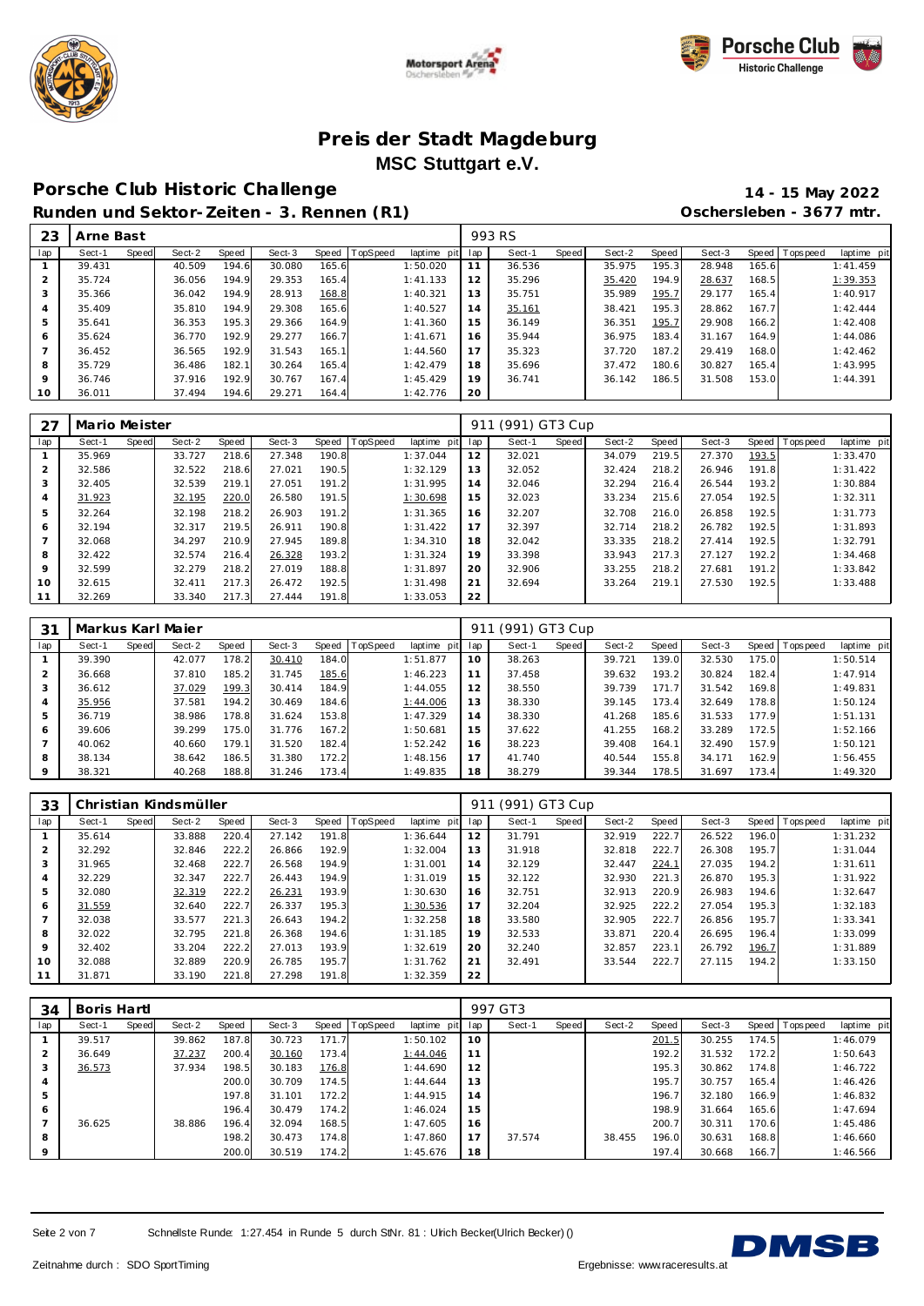





# **Porsche C lub Historic Challenge 14 - 15 May 2022**

**Runden und Sektor-Zeiten - 3. Rennen (R1) Oschersleben - 3677 mtr.**

| 23             | Arne Bast |       |        |       |        |       |          |             |     | 993 RS |       |        |       |        |       |                |             |
|----------------|-----------|-------|--------|-------|--------|-------|----------|-------------|-----|--------|-------|--------|-------|--------|-------|----------------|-------------|
| lap            | Sect-1    | Speed | Sect-2 | Speed | Sect-3 | Speed | TopSpeed | laptime pit | lap | Sect-1 | Speed | Sect-2 | Speed | Sect-3 |       | Speed Topspeed | laptime pit |
|                | 39.431    |       | 40.509 | 194.6 | 30.080 | 165.6 |          | 1:50.020    | 11  | 36.536 |       | 35.975 | 195.3 | 28.948 | 165.6 |                | 1:41.459    |
| $\overline{2}$ | 35.724    |       | 36.056 | 194.9 | 29.353 | 165.4 |          | 1:41.133    | 12  | 35.296 |       | 35.420 | 194.9 | 28.637 | 168.5 |                | 1:39.353    |
| 3              | 35.366    |       | 36.042 | 194.9 | 28.913 | 168.8 |          | 1:40.321    | 13  | 35.751 |       | 35.989 | 195.7 | 29.177 | 165.4 |                | 1:40.917    |
| 4              | 35.409    |       | 35.810 | 194.9 | 29.308 | 165.6 |          | 1:40.527    | 14  | 35.161 |       | 38.421 | 195.3 | 28.862 | 167.7 |                | 1:42.444    |
| 5              | 35.641    |       | 36.353 | 195.3 | 29.366 | 164.9 |          | 1:41.360    | 15  | 36.149 |       | 36.351 | 195.7 | 29.908 | 166.2 |                | 1:42.408    |
| 6              | 35.624    |       | 36.770 | 192.9 | 29.277 | 166.7 |          | 1:41.671    | 16  | 35.944 |       | 36.975 | 183.4 | 31.167 | 164.9 |                | 1:44.086    |
|                | 36.452    |       | 36.565 | 192.9 | 31.543 | 165.1 |          | 1:44.560    | 17  | 35.323 |       | 37.720 | 187.2 | 29.419 | 168.0 |                | 1:42.462    |
| 8              | 35.729    |       | 36.486 | 182.1 | 30.264 | 165.4 |          | 1:42.479    | 18  | 35.696 |       | 37.472 | 180.6 | 30.827 | 165.4 |                | 1:43.995    |
| 9              | 36.746    |       | 37.916 | 192.9 | 30.767 | 167.4 |          | 1:45.429    | 19  | 36.741 |       | 36.142 | 186.5 | 31.508 | 153.0 |                | 1:44.391    |
| 10             | 36.011    |       | 37.494 | 194.6 | 29.271 | 164.4 |          | 1:42.776    | 20  |        |       |        |       |        |       |                |             |

| 27             | Mario Meister |       |        |       |        |       |                |             | 911 | (991) GT3 Cup |       |        |       |        |       |                 |             |
|----------------|---------------|-------|--------|-------|--------|-------|----------------|-------------|-----|---------------|-------|--------|-------|--------|-------|-----------------|-------------|
| lap            | Sect-1        | Speed | Sect-2 | Speed | Sect-3 |       | Speed TopSpeed | laptime pit | lap | Sect-1        | Speed | Sect-2 | Speed | Sect-3 |       | Speed Tops peed | laptime pit |
|                | 35.969        |       | 33.727 | 218.6 | 27.348 | 190.8 |                | 1:37.044    | 12  | 32.021        |       | 34.079 | 219.5 | 27.370 | 193.5 |                 | 1:33.470    |
| $\overline{2}$ | 32.586        |       | 32.522 | 218.6 | 27.021 | 190.5 |                | 1:32.129    | 13  | 32.052        |       | 32.424 | 218.2 | 26.946 | 191.8 |                 | 1:31.422    |
| 3              | 32.405        |       | 32.539 | 219.1 | 27.051 | 191.2 |                | 1:31.995    | 14  | 32.046        |       | 32.294 | 216.4 | 26.544 | 193.2 |                 | 1:30.884    |
| $\overline{4}$ | 31.923        |       | 32.195 | 220.0 | 26.580 | 191.5 |                | 1:30.698    | 15  | 32.023        |       | 33.234 | 215.6 | 27.054 | 192.5 |                 | 1:32.311    |
| 5              | 32.264        |       | 32.198 | 218.2 | 26.903 | 191.2 |                | 1:31.365    | 16  | 32.207        |       | 32.708 | 216.0 | 26.858 | 192.5 |                 | 1:31.773    |
| 6              | 32.194        |       | 32.317 | 219.5 | 26.911 | 190.8 |                | 1:31.422    | 17  | 32.397        |       | 32.714 | 218.2 | 26.782 | 192.5 |                 | 1:31.893    |
| $\overline{ }$ | 32.068        |       | 34.297 | 210.9 | 27.945 | 189.8 |                | 1:34.310    | 18  | 32.042        |       | 33.335 | 218.2 | 27.414 | 192.5 |                 | 1:32.791    |
| 8              | 32.422        |       | 32.574 | 216.4 | 26.328 | 193.2 |                | 1:31.324    | 19  | 33.398        |       | 33.943 | 217.3 | 27.127 | 192.2 |                 | 1:34.468    |
| 9              | 32.599        |       | 32.279 | 218.2 | 27.019 | 188.8 |                | 1:31.897    | 20  | 32.906        |       | 33.255 | 218.2 | 27.681 | 191.2 |                 | 1:33.842    |
| 10             | 32.615        |       | 32.411 | 217.3 | 26.472 | 192.5 |                | 1:31.498    | 21  | 32.694        |       | 33.264 | 219.1 | 27.530 | 192.5 |                 | 1:33.488    |
| 11             | 32.269        |       | 33.340 | 217.3 | 27.444 | 191.8 |                | 1:33.053    | 22  |               |       |        |       |        |       |                 |             |

| 31      |        |       | Markus Karl Majer |       |        |       |          |             | 911 | (991) GT3 Cup |       |        |       |        |       |                |             |
|---------|--------|-------|-------------------|-------|--------|-------|----------|-------------|-----|---------------|-------|--------|-------|--------|-------|----------------|-------------|
| lap     | Sect-1 | Speed | Sect-2            | Speed | Sect-3 | Speed | TopSpeed | laptime pit | lap | Sect-1        | Speed | Sect-2 | Speed | Sect-3 |       | Speed Topspeed | laptime pit |
|         | 39.390 |       | 42.077            | 178.2 | 30.410 | 184.0 |          | 1:51.877    | 10  | 38.263        |       | 39.721 | 139.0 | 32.530 | 175.0 |                | 1:50.514    |
| 2       | 36.668 |       | 37.810            | 185.2 | 31.745 | 185.6 |          | 1:46.223    | 11  | 37.458        |       | 39.632 | 193.2 | 30.824 | 182.4 |                | 1:47.914    |
| 3       | 36.612 |       | 37.029            | 199.3 | 30.414 | 184.9 |          | 1:44.055    | 12  | 38.550        |       | 39.739 | 171.7 | 31.542 | 169.8 |                | 1:49.831    |
| 4       | 35.956 |       | 37.581            | 194.2 | 30.469 | 184.6 |          | 1:44.006    | 13  | 38.330        |       | 39.145 | 173.4 | 32.649 | 178.8 |                | 1:50.124    |
| 5       | 36.719 |       | 38.986            | 178.8 | 31.624 | 153.8 |          | 1:47.329    | 14  | 38.330        |       | 41.268 | 185.6 | 31.533 | 177.9 |                | 1:51.131    |
| 6       | 39.606 |       | 39.299            | 175.0 | 31.776 | 167.2 |          | 1:50.681    | 15  | 37.622        |       | 41.255 | 168.2 | 33.289 | 172.5 |                | 1:52.166    |
|         | 40.062 |       | 40.660            | 179.1 | 31.520 | 182.4 |          | 1:52.242    | 16  | 38.223        |       | 39.408 | 164.1 | 32.490 | 157.9 |                | 1:50.121    |
| 8       | 38.134 |       | 38.642            | 186.5 | 31.380 | 172.2 |          | 1:48.156    | 17  | 41.740        |       | 40.544 | 155.8 | 34.171 | 162.9 |                | 1:56.455    |
| $\circ$ | 38.321 |       | 40.268            | 188.8 | 31.246 | 173.4 |          | 1:49.835    | 18  | 38.279        |       | 39.344 | 178.5 | 31.697 | 173.4 |                | 1:49.320    |

| 33  |        |       | Christian Kindsmüller |       |        |       |                |             | 911 | (991) GT3 Cup |       |        |       |        |       |                |             |
|-----|--------|-------|-----------------------|-------|--------|-------|----------------|-------------|-----|---------------|-------|--------|-------|--------|-------|----------------|-------------|
| lap | Sect-1 | Speed | Sect-2                | Speed | Sect-3 |       | Speed TopSpeed | laptime pit | lap | Sect-1        | Speed | Sect-2 | Speed | Sect-3 |       | Speed Topspeed | laptime pit |
|     | 35.614 |       | 33.888                | 220.4 | 27.142 | 191.8 |                | 1:36.644    | 12  | 31.791        |       | 32.919 | 222.7 | 26.522 | 196.0 |                | 1:31.232    |
| 2   | 32.292 |       | 32.846                | 222.2 | 26.866 | 192.9 |                | 1:32.004    | 13  | 31.918        |       | 32.818 | 222.7 | 26.308 | 195.7 |                | 1:31.044    |
| 3   | 31.965 |       | 32.468                | 222.7 | 26.568 | 194.9 |                | 1:31.001    | 14  | 32.129        |       | 32.447 | 224.1 | 27.035 | 194.2 |                | 1:31.611    |
| 4   | 32.229 |       | 32.347                | 222.7 | 26.443 | 194.9 |                | 1:31.019    | 15  | 32.122        |       | 32.930 | 221.3 | 26.870 | 195.3 |                | 1:31.922    |
| 5   | 32.080 |       | 32.319                | 222.2 | 26.231 | 193.9 |                | 1:30.630    | 16  | 32.751        |       | 32.913 | 220.9 | 26.983 | 194.6 |                | 1:32.647    |
| 6   | 31.559 |       | 32.640                | 222.7 | 26.337 | 195.3 |                | 1:30.536    | 17  | 32.204        |       | 32.925 | 222.2 | 27.054 | 195.3 |                | 1:32.183    |
|     | 32.038 |       | 33.577                | 221.3 | 26.643 | 194.2 |                | 1:32.258    | 18  | 33.580        |       | 32.905 | 222.7 | 26.856 | 195.7 |                | 1:33.341    |
| 8   | 32.022 |       | 32.795                | 221.8 | 26.368 | 194.6 |                | 1:31.185    | 19  | 32.533        |       | 33.871 | 220.4 | 26.695 | 196.4 |                | 1:33.099    |
| 9   | 32.402 |       | 33.204                | 222.2 | 27.013 | 193.9 |                | 1:32.619    | 20  | 32.240        |       | 32.857 | 223.1 | 26.792 | 196.7 |                | 1:31.889    |
| 10  | 32.088 |       | 32.889                | 220.9 | 26.785 | 195.7 |                | 1:31.762    | 21  | 32.491        |       | 33.544 | 222.7 | 27.115 | 194.2 |                | 1:33.150    |
| 11  | 31.871 |       | 33.190                | 221.8 | 27.298 | 191.8 |                | 1:32.359    | 22  |               |       |        |       |        |       |                |             |

| 34             | Boris Hartl |       |        |       |        |       |          |             |     | 997 GT3 |       |        |       |        |       |           |             |
|----------------|-------------|-------|--------|-------|--------|-------|----------|-------------|-----|---------|-------|--------|-------|--------|-------|-----------|-------------|
| lap            | Sect-1      | Speed | Sect-2 | Speed | Sect-3 | Speed | TopSpeed | laptime pit | lap | Sect-1  | Speed | Sect-2 | Speed | Sect-3 | Speed | Tops peed | laptime pit |
|                | 39.517      |       | 39.862 | 187.8 | 30.723 | 171.7 |          | 1:50.102    | 10  |         |       |        | 201.5 | 30.255 | 174.5 |           | 1:46.079    |
| $\overline{2}$ | 36.649      |       | 37.237 | 200.4 | 30.160 | 173.4 |          | 1:44.046    | 11  |         |       |        | 192.2 | 31.532 | 172.2 |           | 1:50.643    |
| 3              | 36.573      |       | 37.934 | 198.5 | 30.183 | 176.8 |          | 1:44.690    | 12  |         |       |        | 195.3 | 30.862 | 174.8 |           | 1:46.722    |
| 4              |             |       |        | 200.0 | 30.709 | 174.5 |          | 1:44.644    | 13  |         |       |        | 195.7 | 30.757 | 165.4 |           | 1:46.426    |
| 5              |             |       |        | 197.8 | 31.101 | 172.2 |          | 1:44.915    | 14  |         |       |        | 196.7 | 32.180 | 166.9 |           | 1:46.832    |
| 6              |             |       |        | 196.4 | 30.479 | 174.2 |          | 1:46.024    | 15  |         |       |        | 198.9 | 31.664 | 165.6 |           | 1:47.694    |
|                | 36.625      |       | 38.886 | 196.4 | 32.094 | 168.5 |          | 1:47.605    | 16  |         |       |        | 200.7 | 30.311 | 170.6 |           | 1:45.486    |
| 8              |             |       |        | 198.2 | 30.473 | 174.8 |          | 1:47.860    | 17  | 37.574  |       | 38.455 | 196.0 | 30.631 | 168.8 |           | 1:46.660    |
| $\circ$        |             |       |        | 200.0 | 30.519 | 174.2 |          | 1:45.676    | 18  |         |       |        | 197.4 | 30.668 | 166.7 |           | 1:46.566    |

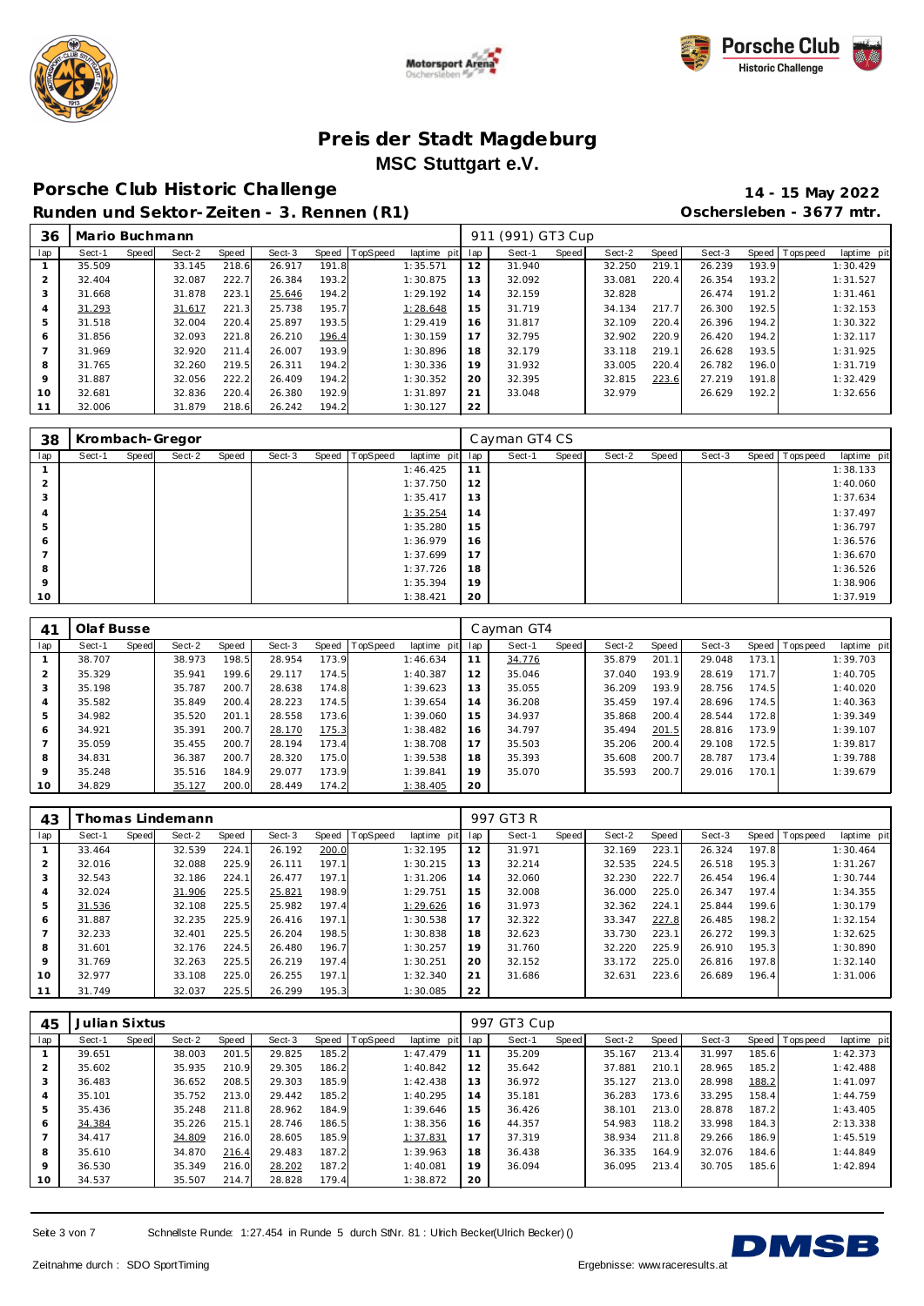





#### **Porsche C lub Historic Challenge 14 - 15 May 2022**

**Runden und Sektor-Zeiten - 3. Rennen (R1) Oschersleben - 3677 mtr.**

| 36  | Mario Buchmann |       |        |       |        |       |                |             | 911 | (991) GT3 Cup |       |        |       |        |       |                 |             |
|-----|----------------|-------|--------|-------|--------|-------|----------------|-------------|-----|---------------|-------|--------|-------|--------|-------|-----------------|-------------|
| lap | Sect-1         | Speed | Sect-2 | Speed | Sect-3 |       | Speed TopSpeed | laptime pit | lap | Sect-1        | Speed | Sect-2 | Speed | Sect-3 |       | Speed Tops peed | laptime pit |
|     | 35.509         |       | 33.145 | 218.6 | 26.917 | 191.8 |                | 1:35.571    | 12  | 31.940        |       | 32.250 | 219.1 | 26.239 | 193.9 |                 | 1:30.429    |
| 2   | 32.404         |       | 32.087 | 222.7 | 26.384 | 193.2 |                | 1:30.875    | 13  | 32.092        |       | 33.081 | 220.4 | 26.354 | 193.2 |                 | 1:31.527    |
| 3   | 31.668         |       | 31.878 | 223.1 | 25.646 | 194.2 |                | 1:29.192    | 14  | 32.159        |       | 32.828 |       | 26.474 | 191.2 |                 | 1:31.461    |
| 4   | 31.293         |       | 31.617 | 221.3 | 25.738 | 195.7 |                | 1:28.648    | 15  | 31.719        |       | 34.134 | 217.7 | 26.300 | 192.5 |                 | 1:32.153    |
| 5   | 31.518         |       | 32.004 | 220.4 | 25.897 | 193.5 |                | 1:29.419    | 16  | 31.817        |       | 32.109 | 220.4 | 26.396 | 194.2 |                 | 1:30.322    |
| 6   | 31.856         |       | 32.093 | 221.8 | 26.210 | 196.4 |                | 1:30.159    | 17  | 32.795        |       | 32.902 | 220.9 | 26.420 | 194.2 |                 | 1:32.117    |
|     | 31.969         |       | 32.920 | 211.4 | 26.007 | 193.9 |                | 1:30.896    | 18  | 32.179        |       | 33.118 | 219.1 | 26.628 | 193.5 |                 | 1:31.925    |
| 8   | 31.765         |       | 32.260 | 219.5 | 26.311 | 194.2 |                | 1:30.336    | 19  | 31.932        |       | 33.005 | 220.4 | 26.782 | 196.0 |                 | 1:31.719    |
| 9   | 31.887         |       | 32.056 | 222.2 | 26.409 | 194.2 |                | 1:30.352    | 20  | 32.395        |       | 32.815 | 223.6 | 27.219 | 191.8 |                 | 1:32.429    |
| 10  | 32.681         |       | 32.836 | 220.4 | 26.380 | 192.9 |                | 1:31.897    | 21  | 33.048        |       | 32.979 |       | 26.629 | 192.2 |                 | 1:32.656    |
|     | 32.006         |       | 31.879 | 218.6 | 26.242 | 194.2 |                | 1:30.127    | 22  |               |       |        |       |        |       |                 |             |

| 38      |        |       | Krombach-Gregor |       |        |                |             |             | Cayman GT4 CS |       |        |       |        |                   |             |
|---------|--------|-------|-----------------|-------|--------|----------------|-------------|-------------|---------------|-------|--------|-------|--------|-------------------|-------------|
| lap     | Sect-1 | Speed | Sect-2          | Speed | Sect-3 | Speed TopSpeed | laptime pit | lap         | Sect-1        | Speed | Sect-2 | Speed | Sect-3 | Speed   Tops peed | laptime pit |
|         |        |       |                 |       |        |                | 1:46.425    | $1^{\circ}$ |               |       |        |       |        |                   | 1:38.133    |
|         |        |       |                 |       |        |                | 1:37.750    | 12          |               |       |        |       |        |                   | 1:40.060    |
|         |        |       |                 |       |        |                | 1:35.417    | 13          |               |       |        |       |        |                   | 1:37.634    |
|         |        |       |                 |       |        |                | 1:35.254    | 14          |               |       |        |       |        |                   | 1:37.497    |
| 5       |        |       |                 |       |        |                | 1:35.280    | 15          |               |       |        |       |        |                   | 1:36.797    |
| 6       |        |       |                 |       |        |                | 1:36.979    | 16          |               |       |        |       |        |                   | 1:36.576    |
|         |        |       |                 |       |        |                | 1:37.699    | 17          |               |       |        |       |        |                   | 1:36.670    |
| 8       |        |       |                 |       |        |                | 1:37.726    | 18          |               |       |        |       |        |                   | 1:36.526    |
| $\circ$ |        |       |                 |       |        |                | 1:35.394    | 19          |               |       |        |       |        |                   | 1:38.906    |
| 10      |        |       |                 |       |        |                | 1:38.421    | 20          |               |       |        |       |        |                   | 1:37.919    |

| 41             | Olaf Busse |       |        |       |        |       |          |             |     | Cayman GT4 |       |        |       |        |       |                   |             |
|----------------|------------|-------|--------|-------|--------|-------|----------|-------------|-----|------------|-------|--------|-------|--------|-------|-------------------|-------------|
| lap            | Sect-1     | Speed | Sect-2 | Speed | Sect-3 | Speed | TopSpeed | laptime pit | lap | Sect-1     | Speed | Sect-2 | Speed | Sect-3 |       | Speed   Tops peed | laptime pit |
|                | 38.707     |       | 38.973 | 198.5 | 28.954 | 173.9 |          | 1:46.634    | 11  | 34.776     |       | 35.879 | 201.1 | 29.048 | 173.1 |                   | 1:39.703    |
| $\overline{2}$ | 35.329     |       | 35.941 | 199.6 | 29.117 | 174.5 |          | 1:40.387    | 12  | 35.046     |       | 37.040 | 193.9 | 28.619 | 171.7 |                   | 1:40.705    |
| 3              | 35.198     |       | 35.787 | 200.7 | 28.638 | 174.8 |          | 1:39.623    | 13  | 35.055     |       | 36.209 | 193.9 | 28.756 | 174.5 |                   | 1:40.020    |
| 4              | 35.582     |       | 35.849 | 200.4 | 28.223 | 174.5 |          | 1:39.654    | 14  | 36.208     |       | 35.459 | 197.4 | 28.696 | 174.5 |                   | 1:40.363    |
| 5              | 34.982     |       | 35.520 | 201.1 | 28.558 | 173.6 |          | 1:39.060    | 15  | 34.937     |       | 35.868 | 200.4 | 28.544 | 172.8 |                   | 1:39.349    |
| 6              | 34.921     |       | 35.391 | 200.7 | 28.170 | 175.3 |          | 1:38.482    | 16  | 34.797     |       | 35.494 | 201.5 | 28.816 | 173.9 |                   | 1:39.107    |
|                | 35.059     |       | 35.455 | 200.7 | 28.194 | 173.4 |          | 1:38.708    | 17  | 35.503     |       | 35.206 | 200.4 | 29.108 | 172.5 |                   | 1:39.817    |
| 8              | 34.831     |       | 36.387 | 200.7 | 28.320 | 175.0 |          | 1:39.538    | 18  | 35.393     |       | 35.608 | 200.7 | 28.787 | 173.4 |                   | 1:39.788    |
| $\mathsf Q$    | 35.248     |       | 35.516 | 184.9 | 29.077 | 173.9 |          | 1:39.841    | 19  | 35.070     |       | 35.593 | 200.7 | 29.016 | 170.1 |                   | 1:39.679    |
| 10             | 34.829     |       | 35.127 | 200.0 | 28.449 | 174.2 |          | 1:38.405    | 20  |            |       |        |       |        |       |                   |             |

| 43             |        |       | homas Lindemann |       |        |       |                 |             |     | 997 GT3 R |       |        |       |        |       |                 |             |
|----------------|--------|-------|-----------------|-------|--------|-------|-----------------|-------------|-----|-----------|-------|--------|-------|--------|-------|-----------------|-------------|
| lap            | Sect-1 | Speed | Sect-2          | Speed | Sect-3 | Speed | <b>TopSpeed</b> | laptime pit | lap | Sect-1    | Speed | Sect-2 | Speed | Sect-3 |       | Speed Tops peed | laptime pit |
|                | 33.464 |       | 32.539          | 224.1 | 26.192 | 200.0 |                 | 1:32.195    | 12  | 31.971    |       | 32.169 | 223.1 | 26.324 | 197.8 |                 | 1:30.464    |
| $\overline{2}$ | 32.016 |       | 32.088          | 225.9 | 26.111 | 197.1 |                 | 1:30.215    | 13  | 32.214    |       | 32.535 | 224.5 | 26.518 | 195.3 |                 | 1:31.267    |
| 3              | 32.543 |       | 32.186          | 224.1 | 26.477 | 197.1 |                 | 1:31.206    | 14  | 32.060    |       | 32.230 | 222.7 | 26.454 | 196.4 |                 | 1:30.744    |
| 4              | 32.024 |       | 31.906          | 225.5 | 25.821 | 198.9 |                 | 1:29.751    | 15  | 32.008    |       | 36.000 | 225.0 | 26.347 | 197.4 |                 | 1:34.355    |
| 5              | 31.536 |       | 32.108          | 225.5 | 25.982 | 197.4 |                 | 1:29.626    | 16  | 31.973    |       | 32.362 | 224.1 | 25.844 | 199.6 |                 | 1:30.179    |
| 6              | 31.887 |       | 32.235          | 225.9 | 26.416 | 197.1 |                 | 1:30.538    | 17  | 32.322    |       | 33.347 | 227.8 | 26.485 | 198.2 |                 | 1:32.154    |
|                | 32.233 |       | 32.401          | 225.5 | 26.204 | 198.5 |                 | 1:30.838    | 18  | 32.623    |       | 33.730 | 223.1 | 26.272 | 199.3 |                 | 1:32.625    |
| 8              | 31.601 |       | 32.176          | 224.5 | 26.480 | 196.7 |                 | 1:30.257    | 19  | 31.760    |       | 32.220 | 225.9 | 26.910 | 195.3 |                 | 1:30.890    |
| $\circ$        | 31.769 |       | 32.263          | 225.5 | 26.219 | 197.4 |                 | 1:30.251    | 20  | 32.152    |       | 33.172 | 225.0 | 26.816 | 197.8 |                 | 1:32.140    |
| 10             | 32.977 |       | 33.108          | 225.0 | 26.255 | 197.1 |                 | 1:32.340    | 21  | 31.686    |       | 32.631 | 223.6 | 26.689 | 196.4 |                 | 1:31.006    |
| 11             | 31.749 |       | 32.037          | 225.5 | 26.299 | 195.3 |                 | 1:30.085    | 22  |           |       |        |       |        |       |                 |             |

| 45             | Julian Sixtus |              |        |       |        |       |                 |             |     | 997 GT3 Cup |       |        |       |        |       |                 |             |
|----------------|---------------|--------------|--------|-------|--------|-------|-----------------|-------------|-----|-------------|-------|--------|-------|--------|-------|-----------------|-------------|
| lap            | Sect-1        | <b>Speed</b> | Sect-2 | Speed | Sect-3 | Speed | <b>TopSpeed</b> | laptime pit | lap | Sect-1      | Speed | Sect-2 | Speed | Sect-3 |       | Speed Tops peed | laptime pit |
|                | 39.651        |              | 38.003 | 201.5 | 29.825 | 185.2 |                 | 1:47.479    | 11  | 35.209      |       | 35.167 | 213.4 | 31.997 | 185.6 |                 | 1:42.373    |
| 2              | 35.602        |              | 35.935 | 210.9 | 29.305 | 186.2 |                 | 1:40.842    | 12  | 35.642      |       | 37.881 | 210.1 | 28.965 | 185.2 |                 | 1:42.488    |
| 3              | 36.483        |              | 36.652 | 208.5 | 29.303 | 185.9 |                 | 1:42.438    | 13  | 36.972      |       | 35.127 | 213.0 | 28.998 | 188.2 |                 | 1:41.097    |
| 4              | 35.101        |              | 35.752 | 213.0 | 29.442 | 185.2 |                 | 1:40.295    | 14  | 35.181      |       | 36.283 | 173.6 | 33.295 | 158.4 |                 | 1:44.759    |
| 5              | 35.436        |              | 35.248 | 211.8 | 28.962 | 184.9 |                 | 1:39.646    | 15  | 36.426      |       | 38.101 | 213.0 | 28.878 | 187.2 |                 | 1:43.405    |
| 6              | 34.384        |              | 35.226 | 215.1 | 28.746 | 186.5 |                 | 1:38.356    | 16  | 44.357      |       | 54.983 | 118.2 | 33.998 | 184.3 |                 | 2:13.338    |
| $\overline{7}$ | 34.417        |              | 34.809 | 216.0 | 28.605 | 185.9 |                 | 1:37.831    | 17  | 37.319      |       | 38.934 | 211.8 | 29.266 | 186.9 |                 | 1:45.519    |
| 8              | 35.610        |              | 34.870 | 216.4 | 29.483 | 187.2 |                 | 1:39.963    | 18  | 36.438      |       | 36.335 | 164.9 | 32.076 | 184.6 |                 | 1:44.849    |
| 9              | 36.530        |              | 35.349 | 216.0 | 28.202 | 187.2 |                 | 1:40.081    | 19  | 36.094      |       | 36.095 | 213.4 | 30.705 | 185.6 |                 | 1:42.894    |
| 10             | 34.537        |              | 35.507 | 214.7 | 28.828 | 179.4 |                 | 1:38.872    | 20  |             |       |        |       |        |       |                 |             |

Seite 3 von 7 Schnellste Runde: 1:27.454 in Runde 5 durch StNr. 81 : Ulrich Becker(Ulrich Becker) ()

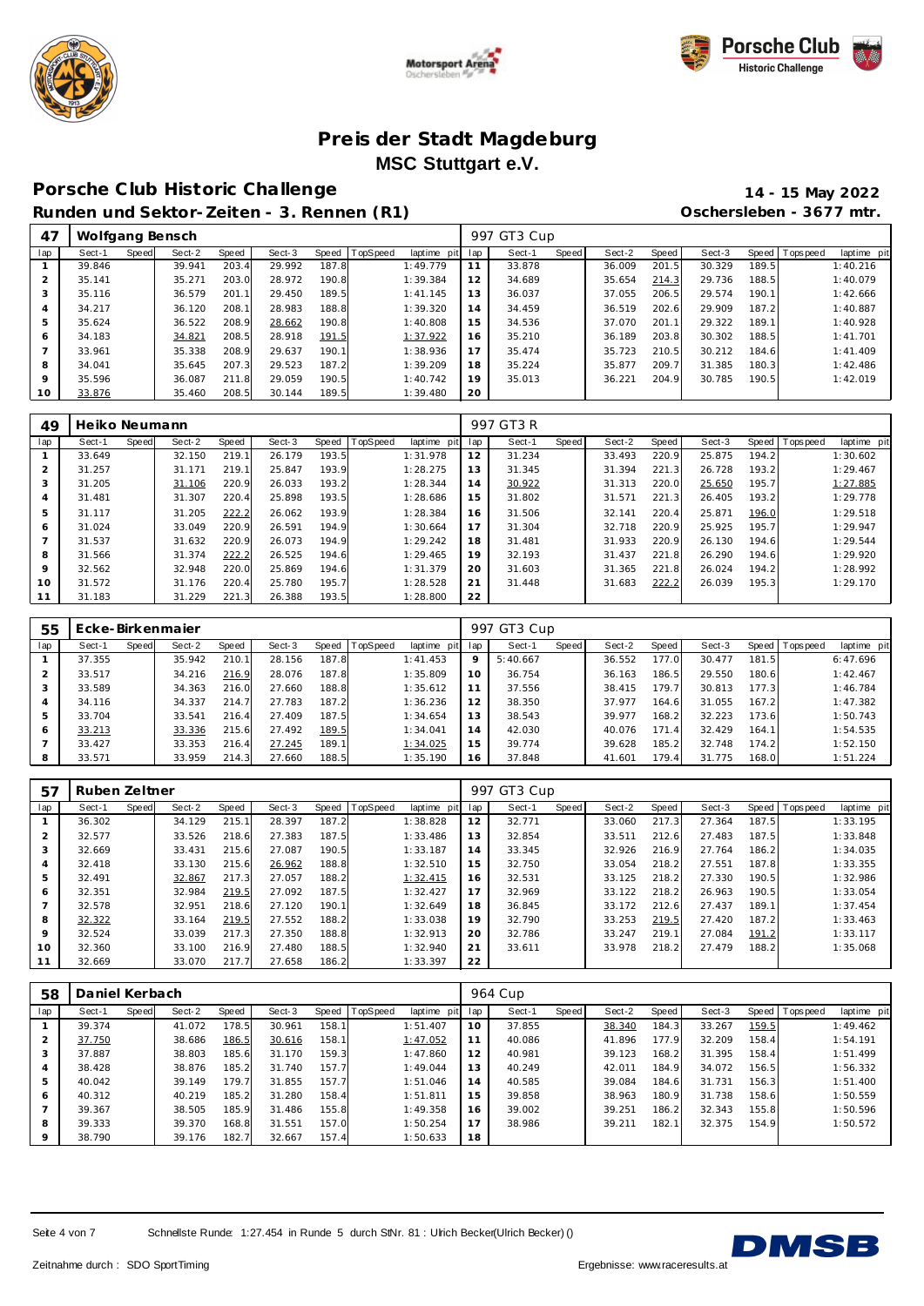





# **Porsche C lub Historic Challenge 14 - 15 May 2022**

**Runden und Sektor-Zeiten - 3. Rennen (R1) Oschersleben - 3677 mtr.**

| 47             | Wolfgang Bensch |       |        |       |        |       |                |             |     | 997 GT3 Cup |       |        |       |        |       |                |             |
|----------------|-----------------|-------|--------|-------|--------|-------|----------------|-------------|-----|-------------|-------|--------|-------|--------|-------|----------------|-------------|
| lap            | Sect-1          | Speed | Sect-2 | Speed | Sect-3 |       | Speed TopSpeed | laptime pit | lap | Sect-1      | Speed | Sect-2 | Speed | Sect-3 |       | Speed Topspeed | laptime pit |
|                | 39.846          |       | 39.941 | 203.4 | 29.992 | 187.8 |                | 1:49.779    | 11  | 33.878      |       | 36.009 | 201.5 | 30.329 | 189.5 |                | 1:40.216    |
| 2              | 35.141          |       | 35.271 | 203.0 | 28.972 | 190.8 |                | 1:39.384    | 12  | 34.689      |       | 35.654 | 214.3 | 29.736 | 188.5 |                | 1:40.079    |
| 3              | 35.116          |       | 36.579 | 201.1 | 29.450 | 189.5 |                | 1: 41.145   | 13  | 36.037      |       | 37.055 | 206.5 | 29.574 | 190.1 |                | 1:42.666    |
| 4              | 34.217          |       | 36.120 | 208.1 | 28.983 | 188.8 |                | 1:39.320    | 14  | 34.459      |       | 36.519 | 202.6 | 29.909 | 187.2 |                | 1:40.887    |
| 5              | 35.624          |       | 36.522 | 208.9 | 28.662 | 190.8 |                | 1:40.808    | 15  | 34.536      |       | 37.070 | 201.1 | 29.322 | 189.1 |                | 1:40.928    |
| 6              | 34.183          |       | 34.821 | 208.5 | 28.918 | 191.5 |                | 1:37.922    | 16  | 35.210      |       | 36.189 | 203.8 | 30.302 | 188.5 |                | 1:41.701    |
| $\overline{ }$ | 33.961          |       | 35.338 | 208.9 | 29.637 | 190.1 |                | 1:38.936    | 17  | 35.474      |       | 35.723 | 210.5 | 30.212 | 184.6 |                | 1: 41.409   |
| 8              | 34.041          |       | 35.645 | 207.3 | 29.523 | 187.2 |                | 1:39.209    | 18  | 35.224      |       | 35.877 | 209.7 | 31.385 | 180.3 |                | 1:42.486    |
| 9              | 35.596          |       | 36.087 | 211.8 | 29.059 | 190.5 |                | 1:40.742    | 19  | 35.013      |       | 36.221 | 204.9 | 30.785 | 190.5 |                | 1:42.019    |
| 10             | 33.876          |       | 35.460 | 208.5 | 30.144 | 189.5 |                | 1:39.480    | 20  |             |       |        |       |        |       |                |             |

| 49             | Heiko Neumann |       |        |       |        |       |                |             |     | 997 GT3 R |       |        |       |        |       |                 |             |
|----------------|---------------|-------|--------|-------|--------|-------|----------------|-------------|-----|-----------|-------|--------|-------|--------|-------|-----------------|-------------|
| lap            | Sect-1        | Speed | Sect-2 | Speed | Sect-3 |       | Speed TopSpeed | laptime pit | lap | Sect-1    | Speed | Sect-2 | Speed | Sect-3 |       | Speed Tops peed | laptime pit |
|                | 33.649        |       | 32.150 | 219.1 | 26.179 | 193.5 |                | 1:31.978    | 12  | 31.234    |       | 33.493 | 220.9 | 25.875 | 194.2 |                 | 1:30.602    |
| $\overline{2}$ | 31.257        |       | 31.171 | 219.1 | 25.847 | 193.9 |                | 1:28.275    | 13  | 31.345    |       | 31.394 | 221.3 | 26.728 | 193.2 |                 | 1:29.467    |
| 3              | 31.205        |       | 31.106 | 220.9 | 26.033 | 193.2 |                | 1:28.344    | 14  | 30.922    |       | 31.313 | 220.0 | 25.650 | 195.7 |                 | 1:27.885    |
| $\overline{4}$ | 31.481        |       | 31.307 | 220.4 | 25.898 | 193.5 |                | 1:28.686    | 15  | 31.802    |       | 31.571 | 221.3 | 26.405 | 193.2 |                 | 1:29.778    |
| 5              | 31.117        |       | 31.205 | 222.2 | 26.062 | 193.9 |                | 1:28.384    | 16  | 31.506    |       | 32.141 | 220.4 | 25.871 | 196.0 |                 | 1:29.518    |
| 6              | 31.024        |       | 33.049 | 220.9 | 26.591 | 194.9 |                | 1:30.664    | 17  | 31.304    |       | 32.718 | 220.9 | 25.925 | 195.7 |                 | 1:29.947    |
|                | 31.537        |       | 31.632 | 220.9 | 26.073 | 194.9 |                | 1:29.242    | 18  | 31.481    |       | 31.933 | 220.9 | 26.130 | 194.6 |                 | 1:29.544    |
| 8              | 31.566        |       | 31.374 | 222.2 | 26.525 | 194.6 |                | 1:29.465    | 19  | 32.193    |       | 31.437 | 221.8 | 26.290 | 194.6 |                 | 1:29.920    |
| 9              | 32.562        |       | 32.948 | 220.0 | 25.869 | 194.6 |                | 1:31.379    | 20  | 31.603    |       | 31.365 | 221.8 | 26.024 | 194.2 |                 | 1:28.992    |
| 10             | 31.572        |       | 31.176 | 220.4 | 25.780 | 195.7 |                | 1:28.528    | 21  | 31.448    |       | 31.683 | 222.2 | 26.039 | 195.3 |                 | 1:29.170    |
| 11             | 31.183        |       | 31.229 | 221.3 | 26.388 | 193.5 |                | 1:28.800    | 22  |           |       |        |       |        |       |                 |             |

| 55  | Ecke-Birkenmajer |       |        |       |        |       |                |             |     | 997 GT3 Cup |       |        |                    |        |       |                 |             |
|-----|------------------|-------|--------|-------|--------|-------|----------------|-------------|-----|-------------|-------|--------|--------------------|--------|-------|-----------------|-------------|
| lap | Sect-1           | Speed | Sect-2 | Speed | Sect-3 |       | Speed TopSpeed | laptime pit | lap | Sect-1      | Speed | Sect-2 | Speed              | Sect-3 |       | Speed Tops peed | laptime pit |
|     | 37.355           |       | 35.942 | 210.1 | 28.156 | 187.8 |                | 1: 41.453   | 9   | 5:40.667    |       | 36.552 | 177.0              | 30.477 | 181.5 |                 | 6:47.696    |
| 2   | 33.517           |       | 34.216 | 216.9 | 28.076 | 187.8 |                | 1:35.809    | 10  | 36.754      |       | 36.163 | 186.5              | 29.550 | 180.6 |                 | 1:42.467    |
| 3   | 33.589           |       | 34.363 | 216.0 | 27.660 | 188.8 |                | 1:35.612    | 11  | 37.556      |       | 38.415 | 179.7 <sub>1</sub> | 30.813 | 177.3 |                 | 1:46.784    |
| 4   | 34.116           |       | 34.337 | 214.7 | 27.783 | 187.2 |                | 1:36.236    | 12  | 38.350      |       | 37.977 | 164.6              | 31.055 | 167.2 |                 | 1:47.382    |
| 5   | 33.704           |       | 33.541 | 216.4 | 27.409 | 187.5 |                | 1:34.654    | 13  | 38.543      |       | 39.977 | 168.2              | 32.223 | 173.6 |                 | 1:50.743    |
| O   | 33.213           |       | 33.336 | 215.6 | 27.492 | 189.5 |                | 1:34.041    | 14  | 42.030      |       | 40.076 | 171<br>$\Delta$    | 32.429 | 164.1 |                 | 1:54.535    |
|     | 33.427           |       | 33.353 | 216.4 | 27.245 | 189.1 |                | 1:34.025    | 15  | 39.774      |       | 39.628 | 185.2              | 32.748 | 174.2 |                 | 1:52.150    |
| 8   | 33.571           |       | 33.959 | 214.3 | 27.660 | 188.5 |                | 1:35.190    | 16  | 37.848      |       | 41.601 | 179.4 <sub>1</sub> | 31.775 | 168.0 |                 | 1:51.224    |

| 57             | Ruben Zeltner |       |        |       |        |       |                 |             |     | 997 GT3 Cup |       |        |       |        |       |                  |             |
|----------------|---------------|-------|--------|-------|--------|-------|-----------------|-------------|-----|-------------|-------|--------|-------|--------|-------|------------------|-------------|
| lap            | Sect-1        | Speed | Sect-2 | Speed | Sect-3 | Speed | <b>TopSpeed</b> | laptime pit | lap | Sect-1      | Speed | Sect-2 | Speed | Sect-3 |       | Speed   Topspeed | laptime pit |
|                | 36.302        |       | 34.129 | 215.1 | 28.397 | 187.2 |                 | 1:38.828    | 12  | 32.771      |       | 33.060 | 217.3 | 27.364 | 187.5 |                  | 1:33.195    |
| $\overline{2}$ | 32.577        |       | 33.526 | 218.6 | 27.383 | 187.5 |                 | 1:33.486    | 13  | 32.854      |       | 33.511 | 212.6 | 27.483 | 187.5 |                  | 1:33.848    |
| 3              | 32.669        |       | 33.431 | 215.6 | 27.087 | 190.5 |                 | 1:33.187    | 14  | 33.345      |       | 32.926 | 216.9 | 27.764 | 186.2 |                  | 1:34.035    |
| 4              | 32.418        |       | 33.130 | 215.6 | 26.962 | 188.8 |                 | 1:32.510    | 15  | 32.750      |       | 33.054 | 218.2 | 27.551 | 187.8 |                  | 1:33.355    |
| 5              | 32.491        |       | 32.867 | 217.3 | 27.057 | 188.2 |                 | 1:32.415    | 16  | 32.531      |       | 33.125 | 218.2 | 27.330 | 190.5 |                  | 1:32.986    |
| 6              | 32.351        |       | 32.984 | 219.5 | 27.092 | 187.5 |                 | 1:32.427    | 17  | 32.969      |       | 33.122 | 218.2 | 26.963 | 190.5 |                  | 1:33.054    |
|                | 32.578        |       | 32.951 | 218.6 | 27.120 | 190.1 |                 | 1:32.649    | 18  | 36.845      |       | 33.172 | 212.6 | 27.437 | 189.1 |                  | 1:37.454    |
| 8              | 32.322        |       | 33.164 | 219.5 | 27.552 | 188.2 |                 | 1:33.038    | 19  | 32.790      |       | 33.253 | 219.5 | 27.420 | 187.2 |                  | 1:33.463    |
| 9              | 32.524        |       | 33.039 | 217.3 | 27.350 | 188.8 |                 | 1:32.913    | 20  | 32.786      |       | 33.247 | 219.1 | 27.084 | 191.2 |                  | 1:33.117    |
| 10             | 32.360        |       | 33.100 | 216.9 | 27.480 | 188.5 |                 | 1:32.940    | 21  | 33.611      |       | 33.978 | 218.2 | 27.479 | 188.2 |                  | 1:35.068    |
| 11             | 32.669        |       | 33.070 | 217.7 | 27.658 | 186.2 |                 | 1:33.397    | 22  |             |       |        |       |        |       |                  |             |

| 58      | Daniel Kerbach |       |        |       |        |       |          |             |     | 964 Cup |       |        |       |        |       |           |             |
|---------|----------------|-------|--------|-------|--------|-------|----------|-------------|-----|---------|-------|--------|-------|--------|-------|-----------|-------------|
| lap     | Sect-1         | Speed | Sect-2 | Speed | Sect-3 | Speed | TopSpeed | laptime pit | lap | Sect-1  | Speed | Sect-2 | Speed | Sect-3 | Speed | Tops peed | laptime pit |
|         | 39.374         |       | 41.072 | 178.5 | 30.961 | 158.1 |          | 1:51.407    | 10  | 37.855  |       | 38.340 | 184.3 | 33.267 | 159.5 |           | 1:49.462    |
| 2       | 37.750         |       | 38.686 | 186.5 | 30.616 | 158.1 |          | 1:47.052    | 11  | 40.086  |       | 41.896 | 177.9 | 32.209 | 158.4 |           | 1:54.191    |
| 3       | 37.887         |       | 38.803 | 185.6 | 31.170 | 159.3 |          | 1:47.860    | 12  | 40.981  |       | 39.123 | 168.2 | 31.395 | 158.4 |           | 1:51.499    |
| 4       | 38.428         |       | 38.876 | 185.2 | 31.740 | 157.7 |          | 1:49.044    | 13  | 40.249  |       | 42.011 | 184.9 | 34.072 | 156.5 |           | 1:56.332    |
| 5       | 40.042         |       | 39.149 | 179.7 | 31.855 | 157.7 |          | 1:51.046    | 14  | 40.585  |       | 39.084 | 184.6 | 31.731 | 156.3 |           | 1:51.400    |
| 6       | 40.312         |       | 40.219 | 185.2 | 31.280 | 158.4 |          | 1:51.811    | 15  | 39.858  |       | 38.963 | 180.9 | 31.738 | 158.6 |           | 1:50.559    |
|         | 39.367         |       | 38.505 | 185.9 | 31.486 | 155.8 |          | 1:49.358    | 16  | 39.002  |       | 39.251 | 186.2 | 32.343 | 155.8 |           | 1:50.596    |
| 8       | 39.333         |       | 39.370 | 168.8 | 31.551 | 157.0 |          | 1:50.254    | 17  | 38.986  |       | 39.211 | 182.1 | 32.375 | 154.9 |           | 1:50.572    |
| $\circ$ | 38.790         |       | 39.176 | 182.7 | 32.667 | 157.4 |          | 1:50.633    | 18  |         |       |        |       |        |       |           |             |

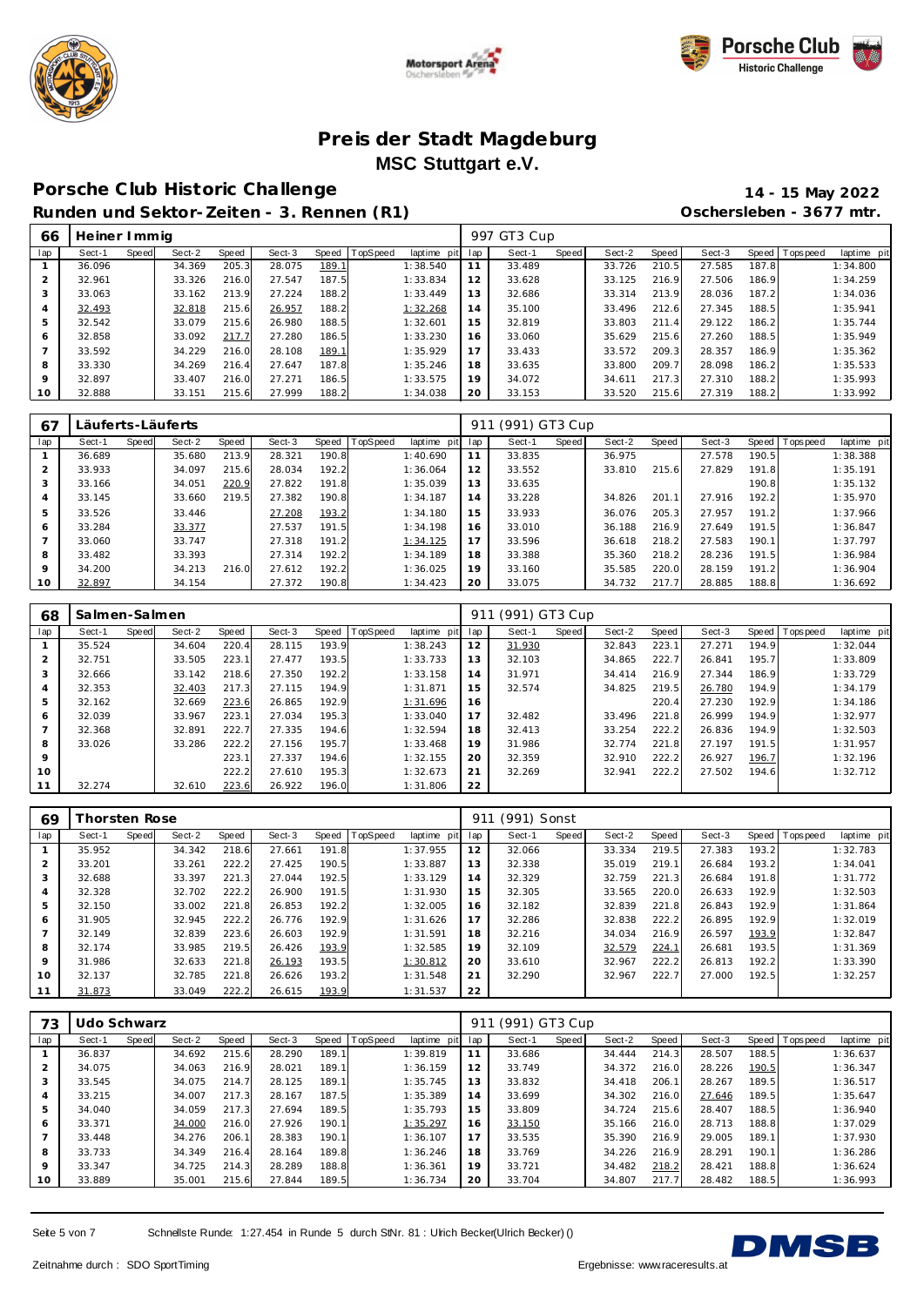





## **Porsche C lub Historic Challenge 14 - 15 May 2022**

**Runden und Sektor-Zeiten - 3. Rennen (R1) Oschersleben - 3677 mtr.**

| 66             | Heiner I mmig |       |        |       |        |       |          |             |     | 997 GT3 Cup |       |        |       |        |       |                |             |
|----------------|---------------|-------|--------|-------|--------|-------|----------|-------------|-----|-------------|-------|--------|-------|--------|-------|----------------|-------------|
| lap            | Sect-1        | Speed | Sect-2 | Speed | Sect-3 | Speed | TopSpeed | laptime pit | lap | Sect-1      | Speed | Sect-2 | Speed | Sect-3 |       | Speed Topspeed | laptime pit |
|                | 36.096        |       | 34.369 | 205.3 | 28.075 | 189.1 |          | 1:38.540    | 11  | 33.489      |       | 33.726 | 210.5 | 27.585 | 187.8 |                | 1:34.800    |
| $\overline{2}$ | 32.961        |       | 33.326 | 216.0 | 27.547 | 187.5 |          | 1:33.834    | 12  | 33.628      |       | 33.125 | 216.9 | 27.506 | 186.9 |                | 1:34.259    |
| 3              | 33.063        |       | 33.162 | 213.9 | 27.224 | 188.2 |          | 1:33.449    | 13  | 32.686      |       | 33.314 | 213.9 | 28.036 | 187.2 |                | 1:34.036    |
| 4              | 32.493        |       | 32.818 | 215.6 | 26.957 | 188.2 |          | 1:32.268    | 14  | 35.100      |       | 33.496 | 212.6 | 27.345 | 188.5 |                | 1:35.941    |
| 5              | 32.542        |       | 33.079 | 215.6 | 26.980 | 188.5 |          | 1:32.601    | 15  | 32.819      |       | 33.803 | 211.4 | 29.122 | 186.2 |                | 1:35.744    |
| 6              | 32.858        |       | 33.092 | 217.7 | 27.280 | 186.5 |          | 1:33.230    | 16  | 33.060      |       | 35.629 | 215.6 | 27.260 | 188.5 |                | 1:35.949    |
|                | 33.592        |       | 34.229 | 216.0 | 28.108 | 189.1 |          | 1:35.929    | 17  | 33.433      |       | 33.572 | 209.3 | 28.357 | 186.9 |                | 1:35.362    |
| 8              | 33.330        |       | 34.269 | 216.4 | 27.647 | 187.8 |          | 1:35.246    | 18  | 33.635      |       | 33.800 | 209.7 | 28.098 | 186.2 |                | 1:35.533    |
| 9              | 32.897        |       | 33.407 | 216.0 | 27.271 | 186.5 |          | 1:33.575    | 19  | 34.072      |       | 34.611 | 217.3 | 27.310 | 188.2 |                | 1:35.993    |
| 10             | 32.888        |       | 33.151 | 215.6 | 27.999 | 188.2 |          | 1:34.038    | 20  | 33.153      |       | 33.520 | 215.6 | 27.319 | 188.2 |                | 1:33.992    |

| 67          | Läuferts-Läuferts |       |        |       |        |       |          |                | 91  | (991) GT3 Cup |       |        |       |        |       |                |             |
|-------------|-------------------|-------|--------|-------|--------|-------|----------|----------------|-----|---------------|-------|--------|-------|--------|-------|----------------|-------------|
| lap         | Sect-1            | Speed | Sect-2 | Speed | Sect-3 | Speed | TopSpeed | laptime<br>pit | lap | Sect-1        | Speed | Sect-2 | Speed | Sect-3 |       | Speed Topspeed | laptime pit |
|             | 36.689            |       | 35.680 | 213.9 | 28.321 | 190.8 |          | 1:40.690       | 11  | 33.835        |       | 36.975 |       | 27.578 | 190.5 |                | 1:38.388    |
| 2           | 33.933            |       | 34.097 | 215.6 | 28.034 | 192.2 |          | 1:36.064       | 12  | 33.552        |       | 33.810 | 215.6 | 27.829 | 191.8 |                | 1:35.191    |
| 3           | 33.166            |       | 34.051 | 220.9 | 27.822 | 191.8 |          | 1:35.039       | 13  | 33.635        |       |        |       |        | 190.8 |                | 1:35.132    |
| 4           | 33.145            |       | 33.660 | 219.5 | 27.382 | 190.8 |          | 1:34.187       | 14  | 33.228        |       | 34.826 | 201.1 | 27.916 | 192.2 |                | 1:35.970    |
| 5           | 33.526            |       | 33.446 |       | 27.208 | 193.2 |          | 1:34.180       | 15  | 33.933        |       | 36.076 | 205.3 | 27.957 | 191.2 |                | 1:37.966    |
| 6           | 33.284            |       | 33.377 |       | 27.537 | 191.5 |          | 1:34.198       | 16  | 33.010        |       | 36.188 | 216.9 | 27.649 | 191.5 |                | 1:36.847    |
| 7           | 33.060            |       | 33.747 |       | 27.318 | 191.2 |          | 1:34.125       | 17  | 33.596        |       | 36.618 | 218.2 | 27.583 | 190.1 |                | 1:37.797    |
| 8           | 33.482            |       | 33.393 |       | 27.314 | 192.2 |          | 1:34.189       | 18  | 33.388        |       | 35.360 | 218.2 | 28.236 | 191.5 |                | 1:36.984    |
| $\mathsf Q$ | 34.200            |       | 34.213 | 216.0 | 27.612 | 192.2 |          | 1:36.025       | 19  | 33.160        |       | 35.585 | 220.0 | 28.159 | 191.2 |                | 1:36.904    |
| 10          | 32.897            |       | 34.154 |       | 27.372 | 190.8 |          | 1:34.423       | 20  | 33.075        |       | 34.732 | 217.7 | 28.885 | 188.8 |                | 1:36.692    |

| 68             | Salmen-Salmen |       |        |       |        |       |          |             | 911 | (991) GT3 Cup |       |        |       |        |       |                |             |
|----------------|---------------|-------|--------|-------|--------|-------|----------|-------------|-----|---------------|-------|--------|-------|--------|-------|----------------|-------------|
| lap            | Sect-1        | Speed | Sect-2 | Speed | Sect-3 | Speed | TopSpeed | laptime pit | lap | Sect-1        | Speed | Sect-2 | Speed | Sect-3 |       | Speed Topspeed | laptime pit |
|                | 35.524        |       | 34.604 | 220.4 | 28.115 | 193.9 |          | 1:38.243    | 12  | 31.930        |       | 32.843 | 223.1 | 27.271 | 194.9 |                | 1:32.044    |
| 2              | 32.751        |       | 33.505 | 223.1 | 27.477 | 193.5 |          | 1:33.733    | 13  | 32.103        |       | 34.865 | 222.7 | 26.841 | 195.7 |                | 1:33.809    |
| 3              | 32.666        |       | 33.142 | 218.6 | 27.350 | 192.2 |          | 1:33.158    | 14  | 31.971        |       | 34.414 | 216.9 | 27.344 | 186.9 |                | 1:33.729    |
| 4              | 32.353        |       | 32.403 | 217.3 | 27.115 | 194.9 |          | 1:31.871    | 15  | 32.574        |       | 34.825 | 219.5 | 26.780 | 194.9 |                | 1:34.179    |
| 5              | 32.162        |       | 32.669 | 223.6 | 26.865 | 192.9 |          | 1:31.696    | 16  |               |       |        | 220.4 | 27.230 | 192.9 |                | 1:34.186    |
| 6              | 32.039        |       | 33.967 | 223.1 | 27.034 | 195.3 |          | 1:33.040    | 17  | 32.482        |       | 33.496 | 221.8 | 26.999 | 194.9 |                | 1:32.977    |
| $\overline{7}$ | 32.368        |       | 32.891 | 222.7 | 27.335 | 194.6 |          | 1:32.594    | 18  | 32.413        |       | 33.254 | 222.2 | 26.836 | 194.9 |                | 1:32.503    |
| 8              | 33.026        |       | 33.286 | 222.2 | 27.156 | 195.7 |          | 1:33.468    | 19  | 31.986        |       | 32.774 | 221.8 | 27.197 | 191.5 |                | 1:31.957    |
| $\mathsf{Q}$   |               |       |        | 223.1 | 27.337 | 194.6 |          | 1:32.155    | 20  | 32.359        |       | 32.910 | 222.2 | 26.927 | 196.7 |                | 1:32.196    |
| 10             |               |       |        | 222.2 | 27.610 | 195.3 |          | 1:32.673    | 21  | 32.269        |       | 32.941 | 222.2 | 27.502 | 194.6 |                | 1:32.712    |
| 11             | 32.274        |       | 32.610 | 223.6 | 26.922 | 196.0 |          | 1:31.806    | 22  |               |       |        |       |        |       |                |             |

| 69             |        | horsten Rose |        |       |        |       |                 |             | 911 | (991) Sonst |       |        |       |        |       |                 |             |
|----------------|--------|--------------|--------|-------|--------|-------|-----------------|-------------|-----|-------------|-------|--------|-------|--------|-------|-----------------|-------------|
| lap            | Sect-1 | Speed        | Sect-2 | Speed | Sect-3 | Speed | <b>TopSpeed</b> | laptime pit | lap | Sect-1      | Speed | Sect-2 | Speed | Sect-3 |       | Speed Tops peed | laptime pit |
|                | 35.952 |              | 34.342 | 218.6 | 27.661 | 191.8 |                 | 1:37.955    | 12  | 32.066      |       | 33.334 | 219.5 | 27.383 | 193.2 |                 | 1:32.783    |
| $\overline{2}$ | 33.201 |              | 33.261 | 222.2 | 27.425 | 190.5 |                 | 1:33.887    | 13  | 32.338      |       | 35.019 | 219.1 | 26.684 | 193.2 |                 | 1:34.041    |
| 3              | 32.688 |              | 33.397 | 221.3 | 27.044 | 192.5 |                 | 1:33.129    | 14  | 32.329      |       | 32.759 | 221.3 | 26.684 | 191.8 |                 | 1:31.772    |
| 4              | 32.328 |              | 32.702 | 222.2 | 26.900 | 191.5 |                 | 1:31.930    | 15  | 32.305      |       | 33.565 | 220.0 | 26.633 | 192.9 |                 | 1:32.503    |
| 5              | 32.150 |              | 33.002 | 221.8 | 26.853 | 192.2 |                 | 1:32.005    | 16  | 32.182      |       | 32.839 | 221.8 | 26.843 | 192.9 |                 | 1:31.864    |
| 6              | 31.905 |              | 32.945 | 222.2 | 26.776 | 192.9 |                 | 1:31.626    | 17  | 32.286      |       | 32.838 | 222.2 | 26.895 | 192.9 |                 | 1:32.019    |
|                | 32.149 |              | 32.839 | 223.6 | 26.603 | 192.9 |                 | 1:31.591    | 18  | 32.216      |       | 34.034 | 216.9 | 26.597 | 193.9 |                 | 1:32.847    |
| 8              | 32.174 |              | 33.985 | 219.5 | 26.426 | 193.9 |                 | 1:32.585    | 19  | 32.109      |       | 32.579 | 224.1 | 26.681 | 193.5 |                 | 1:31.369    |
| 9              | 31.986 |              | 32.633 | 221.8 | 26.193 | 193.5 |                 | 1:30.812    | 20  | 33.610      |       | 32.967 | 222.2 | 26.813 | 192.2 |                 | 1:33.390    |
| 10             | 32.137 |              | 32.785 | 221.8 | 26.626 | 193.2 |                 | 1:31.548    | 21  | 32.290      |       | 32.967 | 222.7 | 27.000 | 192.5 |                 | 1:32.257    |
| 11             | 31.873 |              | 33.049 | 222.2 | 26.615 | 193.9 |                 | 1:31.537    | 22  |             |       |        |       |        |       |                 |             |

| 73          | Udo Schwarz |       |        |       |        |       |                 |             | 911 | (991) GT3 Cup |       |        |       |        |       |                   |             |
|-------------|-------------|-------|--------|-------|--------|-------|-----------------|-------------|-----|---------------|-------|--------|-------|--------|-------|-------------------|-------------|
| lap         | Sect-1      | Speed | Sect-2 | Speed | Sect-3 | Speed | <b>TopSpeed</b> | laptime pit | lap | Sect-1        | Speed | Sect-2 | Speed | Sect-3 |       | Speed   Tops peed | laptime pit |
|             | 36.837      |       | 34.692 | 215.6 | 28.290 | 189.1 |                 | 1:39.819    |     | 33.686        |       | 34.444 | 214.3 | 28.507 | 188.5 |                   | 1:36.637    |
| 2           | 34.075      |       | 34.063 | 216.9 | 28.021 | 189.1 |                 | 1:36.159    | 12  | 33.749        |       | 34.372 | 216.0 | 28.226 | 190.5 |                   | 1:36.347    |
| 3           | 33.545      |       | 34.075 | 214.7 | 28.125 | 189.1 |                 | 1:35.745    | 13  | 33.832        |       | 34.418 | 206.1 | 28.267 | 189.5 |                   | 1:36.517    |
| 4           | 33.215      |       | 34.007 | 217.3 | 28.167 | 187.5 |                 | 1:35.389    | 14  | 33.699        |       | 34.302 | 216.0 | 27.646 | 189.5 |                   | 1:35.647    |
| 5           | 34.040      |       | 34.059 | 217.3 | 27.694 | 189.5 |                 | 1:35.793    | 15  | 33.809        |       | 34.724 | 215.6 | 28.407 | 188.5 |                   | 1:36.940    |
| 6           | 33.371      |       | 34.000 | 216.0 | 27.926 | 190.1 |                 | 1:35.297    | 16  | 33.150        |       | 35.166 | 216.0 | 28.713 | 188.8 |                   | 1:37.029    |
| 7           | 33.448      |       | 34.276 | 206.1 | 28.383 | 190.1 |                 | 1:36.107    | 17  | 33.535        |       | 35.390 | 216.9 | 29.005 | 189.1 |                   | 1:37.930    |
| 8           | 33.733      |       | 34.349 | 216.4 | 28.164 | 189.8 |                 | 1:36.246    | 18  | 33.769        |       | 34.226 | 216.9 | 28.291 | 190.1 |                   | 1:36.286    |
| $\mathsf Q$ | 33.347      |       | 34.725 | 214.3 | 28.289 | 188.8 |                 | 1:36.361    | 19  | 33.721        |       | 34.482 | 218.2 | 28.421 | 188.8 |                   | 1:36.624    |
| 10          | 33.889      |       | 35.001 | 215.6 | 27.844 | 189.5 |                 | 1:36.734    | 20  | 33.704        |       | 34.807 | 217.7 | 28.482 | 188.5 |                   | 1:36.993    |

Seite 5 von 7 Schnellste Runde: 1:27.454 in Runde 5 durch StNr. 81 : Ulrich Becker(Ulrich Becker) ()

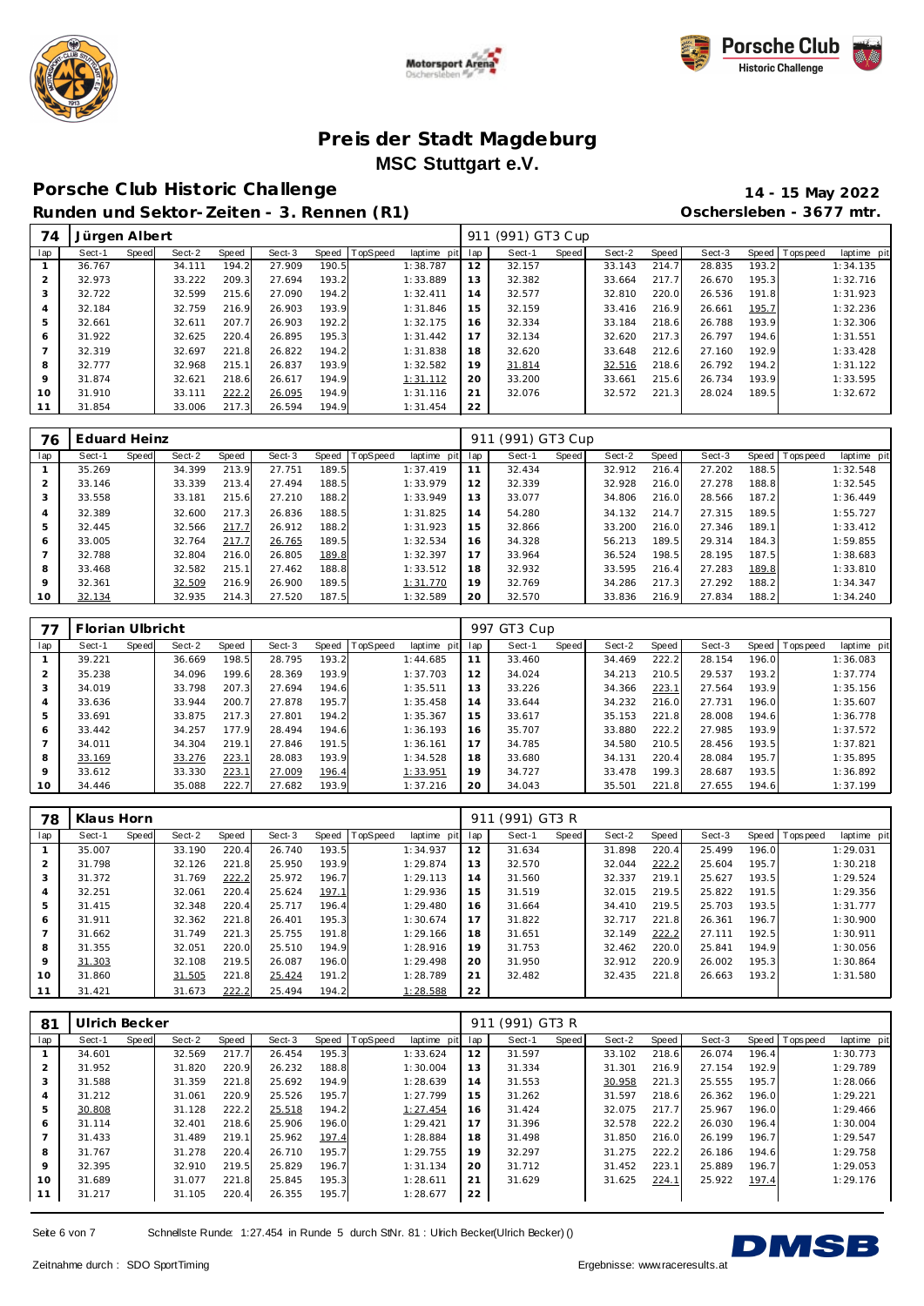





## **Porsche C lub Historic Challenge 14 - 15 May 2022**

**Runden und Sektor-Zeiten - 3. Rennen (R1) Oschersleben - 3677 mtr.**

| 74             | Jürgen Albert |       |        |       |        |       |                |             | 911 | (991) GT3 Cup |       |        |       |        |       |                   |             |
|----------------|---------------|-------|--------|-------|--------|-------|----------------|-------------|-----|---------------|-------|--------|-------|--------|-------|-------------------|-------------|
| lap            | Sect-1        | Speed | Sect-2 | Speed | Sect-3 |       | Speed TopSpeed | laptime pit | lap | Sect-1        | Speed | Sect-2 | Speed | Sect-3 |       | Speed   Tops peed | laptime pit |
|                | 36.767        |       | 34.111 | 194.2 | 27.909 | 190.5 |                | 1:38.787    | 12  | 32.157        |       | 33.143 | 214.7 | 28.835 | 193.2 |                   | 1:34.135    |
| 2              | 32.973        |       | 33.222 | 209.3 | 27.694 | 193.2 |                | 1:33.889    | 13  | 32.382        |       | 33.664 | 217.7 | 26.670 | 195.3 |                   | 1:32.716    |
| 3              | 32.722        |       | 32.599 | 215.6 | 27.090 | 194.2 |                | 1:32.411    | 14  | 32.577        |       | 32.810 | 220.0 | 26.536 | 191.8 |                   | 1:31.923    |
| 4              | 32.184        |       | 32.759 | 216.9 | 26.903 | 193.9 |                | 1:31.846    | 15  | 32.159        |       | 33.416 | 216.9 | 26.661 | 195.7 |                   | 1:32.236    |
| 5              | 32.661        |       | 32.611 | 207.7 | 26.903 | 192.2 |                | 1:32.175    | 16  | 32.334        |       | 33.184 | 218.6 | 26.788 | 193.9 |                   | 1:32.306    |
| 6              | 31.922        |       | 32.625 | 220.4 | 26.895 | 195.3 |                | 1:31.442    | 17  | 32.134        |       | 32.620 | 217.3 | 26.797 | 194.6 |                   | 1:31.551    |
| $\overline{ }$ | 32.319        |       | 32.697 | 221.8 | 26.822 | 194.2 |                | 1:31.838    | 18  | 32.620        |       | 33.648 | 212.6 | 27.160 | 192.9 |                   | 1:33.428    |
| 8              | 32.777        |       | 32.968 | 215.1 | 26.837 | 193.9 |                | 1:32.582    | 19  | 31.814        |       | 32.516 | 218.6 | 26.792 | 194.2 |                   | 1:31.122    |
| 9              | 31.874        |       | 32.621 | 218.6 | 26.617 | 194.9 |                | 1:31.112    | 20  | 33.200        |       | 33.661 | 215.6 | 26.734 | 193.9 |                   | 1:33.595    |
| 10             | 31.910        |       | 33.111 | 222.2 | 26.095 | 194.9 |                | 1:31.116    | 21  | 32.076        |       | 32.572 | 221.3 | 28.024 | 189.5 |                   | 1:32.672    |
|                | 31.854        |       | 33.006 | 217.3 | 26.594 | 194.9 |                | 1:31.454    | 22  |               |       |        |       |        |       |                   |             |

| 76             | Eduard Heinz |       |        |       |        |       |                |             |     | (991) GT3 Cup |       |        |       |        |       |                 |             |
|----------------|--------------|-------|--------|-------|--------|-------|----------------|-------------|-----|---------------|-------|--------|-------|--------|-------|-----------------|-------------|
| lap            | Sect-1       | Speed | Sect-2 | Speed | Sect-3 |       | Speed TopSpeed | laptime pit | lap | Sect-1        | Speed | Sect-2 | Speed | Sect-3 |       | Speed Tops peed | laptime pit |
|                | 35.269       |       | 34.399 | 213.9 | 27.751 | 189.5 |                | 1:37.419    | 11  | 32.434        |       | 32.912 | 216.4 | 27.202 | 188.5 |                 | 1:32.548    |
| 2              | 33.146       |       | 33.339 | 213.4 | 27.494 | 188.5 |                | 1:33.979    | 12  | 32.339        |       | 32.928 | 216.0 | 27.278 | 188.8 |                 | 1:32.545    |
| 3              | 33.558       |       | 33.181 | 215.6 | 27.210 | 188.2 |                | 1:33.949    | 13  | 33.077        |       | 34.806 | 216.0 | 28.566 | 187.2 |                 | 1:36.449    |
| $\overline{4}$ | 32.389       |       | 32.600 | 217.3 | 26.836 | 188.5 |                | 1:31.825    | 14  | 54.280        |       | 34.132 | 214.7 | 27.315 | 189.5 |                 | 1:55.727    |
| 5              | 32.445       |       | 32.566 | 217.7 | 26.912 | 188.2 |                | 1:31.923    | 15  | 32.866        |       | 33.200 | 216.0 | 27.346 | 189.1 |                 | 1:33.412    |
| 6              | 33.005       |       | 32.764 | 217.7 | 26.765 | 189.5 |                | 1:32.534    | 16  | 34.328        |       | 56.213 | 189.5 | 29.314 | 184.3 |                 | 1:59.855    |
| $\overline{ }$ | 32.788       |       | 32.804 | 216.0 | 26.805 | 189.8 |                | 1:32.397    | 17  | 33.964        |       | 36.524 | 198.5 | 28.195 | 187.5 |                 | 1:38.683    |
| 8              | 33.468       |       | 32.582 | 215.1 | 27.462 | 188.8 |                | 1:33.512    | 18  | 32.932        |       | 33.595 | 216.4 | 27.283 | 189.8 |                 | 1:33.810    |
| $\mathsf Q$    | 32.361       |       | 32.509 | 216.9 | 26.900 | 189.5 |                | 1:31.770    | 19  | 32.769        |       | 34.286 | 217.3 | 27.292 | 188.2 |                 | 1:34.347    |
| 10             | 32.134       |       | 32.935 | 214.3 | 27.520 | 187.5 |                | 1:32.589    | 20  | 32.570        |       | 33.836 | 216.9 | 27.834 | 188.2 |                 | 1:34.240    |

|                | Florian Ulbricht |       |        |       |        |       |          |             |     | 997 GT3 Cup |       |        |       |        |       |                 |             |
|----------------|------------------|-------|--------|-------|--------|-------|----------|-------------|-----|-------------|-------|--------|-------|--------|-------|-----------------|-------------|
| lap            | Sect-1           | Speed | Sect-2 | Speed | Sect-3 | Speed | TopSpeed | laptime pit | lap | Sect-1      | Speed | Sect-2 | Speed | Sect-3 |       | Speed Tops peed | laptime pit |
|                | 39.221           |       | 36.669 | 198.5 | 28.795 | 193.2 |          | 1:44.685    | 11  | 33.460      |       | 34.469 | 222.2 | 28.154 | 196.0 |                 | 1:36.083    |
| 2              | 35.238           |       | 34.096 | 199.6 | 28.369 | 193.9 |          | 1:37.703    | 12  | 34.024      |       | 34.213 | 210.5 | 29.537 | 193.2 |                 | 1:37.774    |
| 3              | 34.019           |       | 33.798 | 207.3 | 27.694 | 194.6 |          | 1:35.511    | 13  | 33.226      |       | 34.366 | 223.1 | 27.564 | 193.9 |                 | 1:35.156    |
| $\overline{4}$ | 33.636           |       | 33.944 | 200.7 | 27.878 | 195.7 |          | 1:35.458    | 14  | 33.644      |       | 34.232 | 216.0 | 27.731 | 196.0 |                 | 1:35.607    |
| 5              | 33.691           |       | 33.875 | 217.3 | 27.801 | 194.2 |          | 1:35.367    | 15  | 33.617      |       | 35.153 | 221.8 | 28.008 | 194.6 |                 | 1:36.778    |
| 6              | 33.442           |       | 34.257 | 177.9 | 28.494 | 194.6 |          | 1:36.193    | 16  | 35.707      |       | 33.880 | 222.2 | 27.985 | 193.9 |                 | 1:37.572    |
|                | 34.011           |       | 34.304 | 219.1 | 27.846 | 191.5 |          | 1:36.161    | 17  | 34.785      |       | 34.580 | 210.5 | 28.456 | 193.5 |                 | 1:37.821    |
| 8              | 33.169           |       | 33.276 | 223.1 | 28.083 | 193.9 |          | 1:34.528    | 18  | 33.680      |       | 34.131 | 220.4 | 28.084 | 195.7 |                 | 1:35.895    |
| 9              | 33.612           |       | 33.330 | 223.1 | 27.009 | 196.4 |          | 1:33.951    | 19  | 34.727      |       | 33.478 | 199.3 | 28.687 | 193.5 |                 | 1:36.892    |
| 10             | 34.446           |       | 35.088 | 222.7 | 27.682 | 193.9 |          | 1:37.216    | 20  | 34.043      |       | 35.501 | 221.8 | 27.655 | 194.6 |                 | 1:37.199    |

| 78  | Klaus Horn |       |        |       |        |       |          |             | 911 | (991) GT3 R |       |        |       |        |       |                   |             |
|-----|------------|-------|--------|-------|--------|-------|----------|-------------|-----|-------------|-------|--------|-------|--------|-------|-------------------|-------------|
| lap | Sect-1     | Speed | Sect-2 | Speed | Sect-3 | Speed | TopSpeed | laptime pit | lap | Sect-1      | Speed | Sect-2 | Speed | Sect-3 |       | Speed   Tops peed | laptime pit |
|     | 35.007     |       | 33.190 | 220.4 | 26.740 | 193.5 |          | 1:34.937    | 12  | 31.634      |       | 31.898 | 220.4 | 25.499 | 196.0 |                   | 1:29.031    |
|     | 31.798     |       | 32.126 | 221.8 | 25.950 | 193.9 |          | 1:29.874    | 13  | 32.570      |       | 32.044 | 222.2 | 25.604 | 195.7 |                   | 1:30.218    |
| 3   | 31.372     |       | 31.769 | 222.2 | 25.972 | 196.7 |          | 1:29.113    | 14  | 31.560      |       | 32.337 | 219.1 | 25.627 | 193.5 |                   | 1:29.524    |
| 4   | 32.251     |       | 32.061 | 220.4 | 25.624 | 197.1 |          | 1:29.936    | 15  | 31.519      |       | 32.015 | 219.5 | 25.822 | 191.5 |                   | 1:29.356    |
| 5   | 31.415     |       | 32.348 | 220.4 | 25.717 | 196.4 |          | 1:29.480    | 16  | 31.664      |       | 34.410 | 219.5 | 25.703 | 193.5 |                   | 1:31.777    |
| 6   | 31.911     |       | 32.362 | 221.8 | 26.401 | 195.3 |          | 1:30.674    | 17  | 31.822      |       | 32.717 | 221.8 | 26.361 | 196.7 |                   | 1:30.900    |
|     | 31.662     |       | 31.749 | 221.3 | 25.755 | 191.8 |          | 1:29.166    | 18  | 31.651      |       | 32.149 | 222.2 | 27.111 | 192.5 |                   | 1:30.911    |
| 8   | 31.355     |       | 32.051 | 220.0 | 25.510 | 194.9 |          | 1:28.916    | 19  | 31.753      |       | 32.462 | 220.0 | 25.841 | 194.9 |                   | 1:30.056    |
| 9   | 31.303     |       | 32.108 | 219.5 | 26.087 | 196.0 |          | 1:29.498    | 20  | 31.950      |       | 32.912 | 220.9 | 26.002 | 195.3 |                   | 1:30.864    |
| 10  | 31.860     |       | 31.505 | 221.8 | 25.424 | 191.2 |          | 1:28.789    | 21  | 32.482      |       | 32.435 | 221.8 | 26.663 | 193.2 |                   | 1:31.580    |
| 11  | 31.421     |       | 31.673 | 222.2 | 25.494 | 194.2 |          | 1:28.588    | 22  |             |       |        |       |        |       |                   |             |

| 81             | Ulrich Becker |       |        |       |        |       |          |             | 911 | (991) GT3 R |       |        |       |        |       |                |             |
|----------------|---------------|-------|--------|-------|--------|-------|----------|-------------|-----|-------------|-------|--------|-------|--------|-------|----------------|-------------|
| lap            | Sect-1        | Speed | Sect-2 | Speed | Sect-3 | Speed | TopSpeed | laptime pit | lap | Sect-1      | Speed | Sect-2 | Speed | Sect-3 |       | Speed Topspeed | laptime pit |
|                | 34.601        |       | 32.569 | 217.7 | 26.454 | 195.3 |          | 1:33.624    | 12  | 31.597      |       | 33.102 | 218.6 | 26.074 | 196.4 |                | 1:30.773    |
| $\overline{2}$ | 31.952        |       | 31.820 | 220.9 | 26.232 | 188.8 |          | 1:30.004    | 13  | 31.334      |       | 31.301 | 216.9 | 27.154 | 192.9 |                | 1:29.789    |
| 3              | 31.588        |       | 31.359 | 221.8 | 25.692 | 194.9 |          | 1:28.639    | 14  | 31.553      |       | 30.958 | 221.3 | 25.555 | 195.7 |                | 1:28.066    |
| 4              | 31.212        |       | 31.061 | 220.9 | 25.526 | 195.7 |          | 1:27.799    | 15  | 31.262      |       | 31.597 | 218.6 | 26.362 | 196.0 |                | 1:29.221    |
| 5              | 30.808        |       | 31.128 | 222.2 | 25.518 | 194.2 |          | 1:27.454    | 16  | 31.424      |       | 32.075 | 217.7 | 25.967 | 196.0 |                | 1:29.466    |
| 6              | 31.114        |       | 32.401 | 218.6 | 25.906 | 196.0 |          | 1:29.421    | 17  | 31.396      |       | 32.578 | 222.2 | 26.030 | 196.4 |                | 1:30.004    |
|                | 31.433        |       | 31.489 | 219.1 | 25.962 | 197.4 |          | 1:28.884    | 18  | 31.498      |       | 31.850 | 216.0 | 26.199 | 196.7 |                | 1:29.547    |
| 8              | 31.767        |       | 31.278 | 220.4 | 26.710 | 195.7 |          | 1:29.755    | 19  | 32.297      |       | 31.275 | 222.2 | 26.186 | 194.6 |                | 1:29.758    |
| 9              | 32.395        |       | 32.910 | 219.5 | 25.829 | 196.7 |          | 1:31.134    | 20  | 31.712      |       | 31.452 | 223.1 | 25.889 | 196.7 |                | 1:29.053    |
| 10             | 31.689        |       | 31.077 | 221.8 | 25.845 | 195.3 |          | 1:28.611    | 21  | 31.629      |       | 31.625 | 224.1 | 25.922 | 197.4 |                | 1:29.176    |
| 11             | 31.217        |       | 31.105 | 220.4 | 26.355 | 195.7 |          | 1:28.677    | 22  |             |       |        |       |        |       |                |             |

Seite 6 von 7 Schnellste Runde: 1:27.454 in Runde 5 durch StNr. 81 : Ulrich Becker(Ulrich Becker) ()